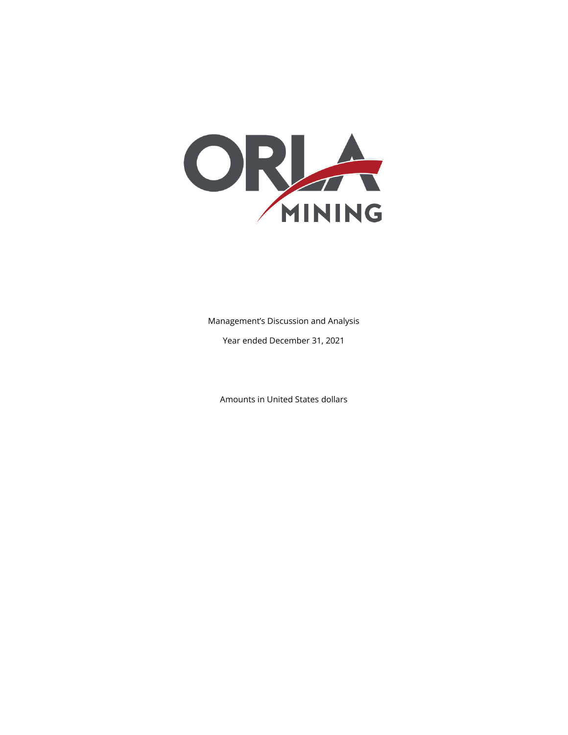

Management's Discussion and Analysis

Year ended December 31, 2021

Amounts in United States dollars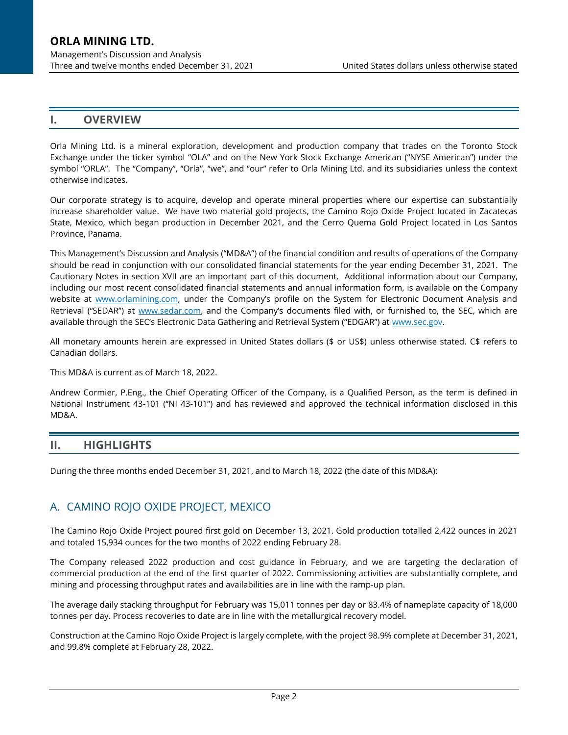#### **I. OVERVIEW**

Orla Mining Ltd. is a mineral exploration, development and production company that trades on the Toronto Stock Exchange under the ticker symbol "OLA" and on the New York Stock Exchange American ("NYSE American") under the symbol "ORLA". The "Company", "Orla", "we", and "our" refer to Orla Mining Ltd. and its subsidiaries unless the context otherwise indicates.

Our corporate strategy is to acquire, develop and operate mineral properties where our expertise can substantially increase shareholder value. We have two material gold projects, the Camino Rojo Oxide Project located in Zacatecas State, Mexico, which began production in December 2021, and the Cerro Quema Gold Project located in Los Santos Province, Panama.

This Management's Discussion and Analysis ("MD&A") of the financial condition and results of operations of the Company should be read in conjunction with our consolidated financial statements for the year ending December 31, 2021. The Cautionary Notes in section [XVII](#page-31-0) are an important part of this document. Additional information about our Company, including our most recent consolidated financial statements and annual information form, is available on the Company website at [www.orlamining.com,](http://www.orlamining.com/) under the Company's profile on the System for Electronic Document Analysis and Retrieval ("SEDAR") at [www.sedar.com,](http://www.sedar.com/) and the Company's documents filed with, or furnished to, the SEC, which are available through the SEC's Electronic Data Gathering and Retrieval System ("EDGAR") at [www.sec.gov.](http://www.sec.gov/)

All monetary amounts herein are expressed in United States dollars (\$ or US\$) unless otherwise stated. C\$ refers to Canadian dollars.

This MD&A is current as of March 18, 2022.

Andrew Cormier, P.Eng., the Chief Operating Officer of the Company, is a Qualified Person, as the term is defined in National Instrument 43-101 ("NI 43-101") and has reviewed and approved the technical information disclosed in this MD&A.

### **II. HIGHLIGHTS**

During the three months ended December 31, 2021, and to March 18, 2022 (the date of this MD&A):

## A. CAMINO ROJO OXIDE PROJECT, MEXICO

The Camino Rojo Oxide Project poured first gold on December 13, 2021. Gold production totalled 2,422 ounces in 2021 and totaled 15,934 ounces for the two months of 2022 ending February 28.

The Company released 2022 production and cost guidance in February, and we are targeting the declaration of commercial production at the end of the first quarter of 2022. Commissioning activities are substantially complete, and mining and processing throughput rates and availabilities are in line with the ramp-up plan.

The average daily stacking throughput for February was 15,011 tonnes per day or 83.4% of nameplate capacity of 18,000 tonnes per day. Process recoveries to date are in line with the metallurgical recovery model.

Construction at the Camino Rojo Oxide Project is largely complete, with the project 98.9% complete at December 31, 2021, and 99.8% complete at February 28, 2022.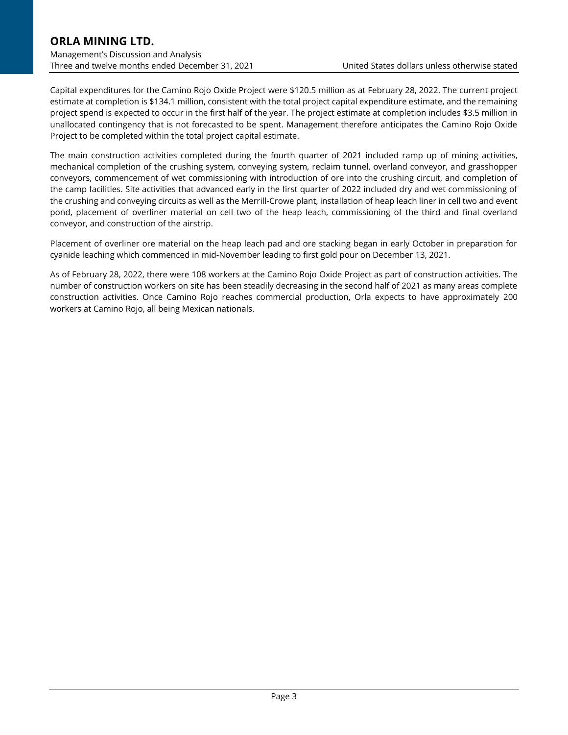Capital expenditures for the Camino Rojo Oxide Project were \$120.5 million as at February 28, 2022. The current project estimate at completion is \$134.1 million, consistent with the total project capital expenditure estimate, and the remaining project spend is expected to occur in the first half of the year. The project estimate at completion includes \$3.5 million in unallocated contingency that is not forecasted to be spent. Management therefore anticipates the Camino Rojo Oxide Project to be completed within the total project capital estimate.

The main construction activities completed during the fourth quarter of 2021 included ramp up of mining activities, mechanical completion of the crushing system, conveying system, reclaim tunnel, overland conveyor, and grasshopper conveyors, commencement of wet commissioning with introduction of ore into the crushing circuit, and completion of the camp facilities. Site activities that advanced early in the first quarter of 2022 included dry and wet commissioning of the crushing and conveying circuits as well as the Merrill-Crowe plant, installation of heap leach liner in cell two and event pond, placement of overliner material on cell two of the heap leach, commissioning of the third and final overland conveyor, and construction of the airstrip.

Placement of overliner ore material on the heap leach pad and ore stacking began in early October in preparation for cyanide leaching which commenced in mid-November leading to first gold pour on December 13, 2021.

As of February 28, 2022, there were 108 workers at the Camino Rojo Oxide Project as part of construction activities. The number of construction workers on site has been steadily decreasing in the second half of 2021 as many areas complete construction activities. Once Camino Rojo reaches commercial production, Orla expects to have approximately 200 workers at Camino Rojo, all being Mexican nationals.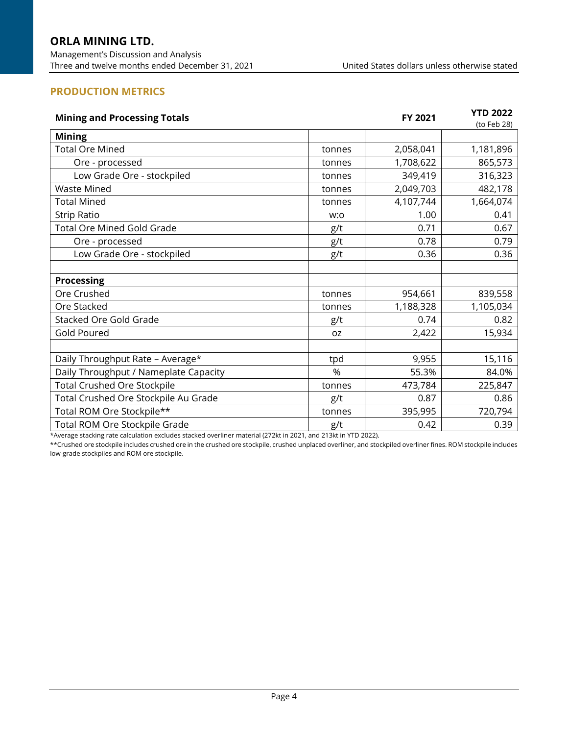# **ORLA MINING LTD.**

## **PRODUCTION METRICS**

| <b>Mining and Processing Totals</b>   | FY 2021 | <b>YTD 2022</b><br>(to Feb 28) |           |
|---------------------------------------|---------|--------------------------------|-----------|
| <b>Mining</b>                         |         |                                |           |
| <b>Total Ore Mined</b>                | tonnes  | 2,058,041                      | 1,181,896 |
| Ore - processed                       | tonnes  | 1,708,622                      | 865,573   |
| Low Grade Ore - stockpiled            | tonnes  | 349,419                        | 316,323   |
| <b>Waste Mined</b>                    | tonnes  | 2,049,703                      | 482,178   |
| <b>Total Mined</b>                    | tonnes  | 4,107,744                      | 1,664,074 |
| Strip Ratio                           | w:o     | 1.00                           | 0.41      |
| <b>Total Ore Mined Gold Grade</b>     | g/t     | 0.71                           | 0.67      |
| Ore - processed                       | g/t     | 0.78                           | 0.79      |
| Low Grade Ore - stockpiled            | g/t     | 0.36                           | 0.36      |
|                                       |         |                                |           |
| <b>Processing</b>                     |         |                                |           |
| Ore Crushed                           | tonnes  | 954,661                        | 839,558   |
| Ore Stacked                           | tonnes  | 1,188,328                      | 1,105,034 |
| Stacked Ore Gold Grade                | g/t     | 0.74                           | 0.82      |
| <b>Gold Poured</b>                    | OZ.     | 2,422                          | 15,934    |
|                                       |         |                                |           |
| Daily Throughput Rate - Average*      | tpd     | 9,955                          | 15,116    |
| Daily Throughput / Nameplate Capacity | %       | 55.3%                          | 84.0%     |
| <b>Total Crushed Ore Stockpile</b>    | tonnes  | 473,784                        | 225,847   |
| Total Crushed Ore Stockpile Au Grade  | g/t     | 0.87                           | 0.86      |
| Total ROM Ore Stockpile**             | tonnes  | 395,995                        | 720,794   |
| Total ROM Ore Stockpile Grade         | g/t     | 0.42                           | 0.39      |

\*Average stacking rate calculation excludes stacked overliner material (272kt in 2021, and 213kt in YTD 2022).

\*\*Crushed ore stockpile includes crushed ore in the crushed ore stockpile, crushed unplaced overliner, and stockpiled overliner fines. ROM stockpile includes low-grade stockpiles and ROM ore stockpile.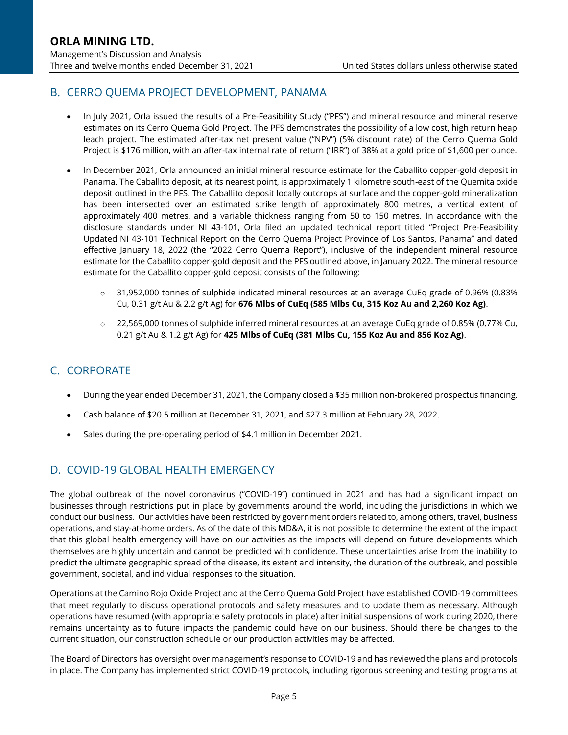# B. CERRO QUEMA PROJECT DEVELOPMENT, PANAMA

- In July 2021, Orla issued the results of a Pre-Feasibility Study ("PFS") and mineral resource and mineral reserve estimates on its Cerro Quema Gold Project. The PFS demonstrates the possibility of a low cost, high return heap leach project. The estimated after-tax net present value ("NPV") (5% discount rate) of the Cerro Quema Gold Project is \$176 million, with an after-tax internal rate of return ("IRR") of 38% at a gold price of \$1,600 per ounce.
- In December 2021, Orla announced an initial mineral resource estimate for the Caballito copper-gold deposit in Panama. The Caballito deposit, at its nearest point, is approximately 1 kilometre south-east of the Quemita oxide deposit outlined in the PFS. The Caballito deposit locally outcrops at surface and the copper-gold mineralization has been intersected over an estimated strike length of approximately 800 metres, a vertical extent of approximately 400 metres, and a variable thickness ranging from 50 to 150 metres. In accordance with the disclosure standards under NI 43-101, Orla filed an updated technical report titled "Project Pre-Feasibility Updated NI 43-101 Technical Report on the Cerro Quema Project Province of Los Santos, Panama" and dated effective January 18, 2022 (the "2022 Cerro Quema Report"), inclusive of the independent mineral resource estimate for the Caballito copper-gold deposit and the PFS outlined above, in January 2022. The mineral resource estimate for the Caballito copper-gold deposit consists of the following:
	- o 31,952,000 tonnes of sulphide indicated mineral resources at an average CuEq grade of 0.96% (0.83% Cu, 0.31 g/t Au & 2.2 g/t Ag) for **676 Mlbs of CuEq (585 Mlbs Cu, 315 Koz Au and 2,260 Koz Ag)**.
	- $\circ$  22,569,000 tonnes of sulphide inferred mineral resources at an average CuEq grade of 0.85% (0.77% Cu, 0.21 g/t Au & 1.2 g/t Ag) for **425 Mlbs of CuEq (381 Mlbs Cu, 155 Koz Au and 856 Koz Ag)**.

# C. CORPORATE

- During the year ended December 31, 2021, the Company closed a \$35 million non-brokered prospectus financing.
- Cash balance of \$20.5 million at December 31, 2021, and \$27.3 million at February 28, 2022.
- Sales during the pre-operating period of \$4.1 million in December 2021.

# D. COVID-19 GLOBAL HEALTH EMERGENCY

The global outbreak of the novel coronavirus ("COVID-19") continued in 2021 and has had a significant impact on businesses through restrictions put in place by governments around the world, including the jurisdictions in which we conduct our business. Our activities have been restricted by government orders related to, among others, travel, business operations, and stay-at-home orders. As of the date of this MD&A, it is not possible to determine the extent of the impact that this global health emergency will have on our activities as the impacts will depend on future developments which themselves are highly uncertain and cannot be predicted with confidence. These uncertainties arise from the inability to predict the ultimate geographic spread of the disease, its extent and intensity, the duration of the outbreak, and possible government, societal, and individual responses to the situation.

Operations at the Camino Rojo Oxide Project and at the Cerro Quema Gold Project have established COVID-19 committees that meet regularly to discuss operational protocols and safety measures and to update them as necessary. Although operations have resumed (with appropriate safety protocols in place) after initial suspensions of work during 2020, there remains uncertainty as to future impacts the pandemic could have on our business. Should there be changes to the current situation, our construction schedule or our production activities may be affected.

The Board of Directors has oversight over management's response to COVID-19 and has reviewed the plans and protocols in place. The Company has implemented strict COVID-19 protocols, including rigorous screening and testing programs at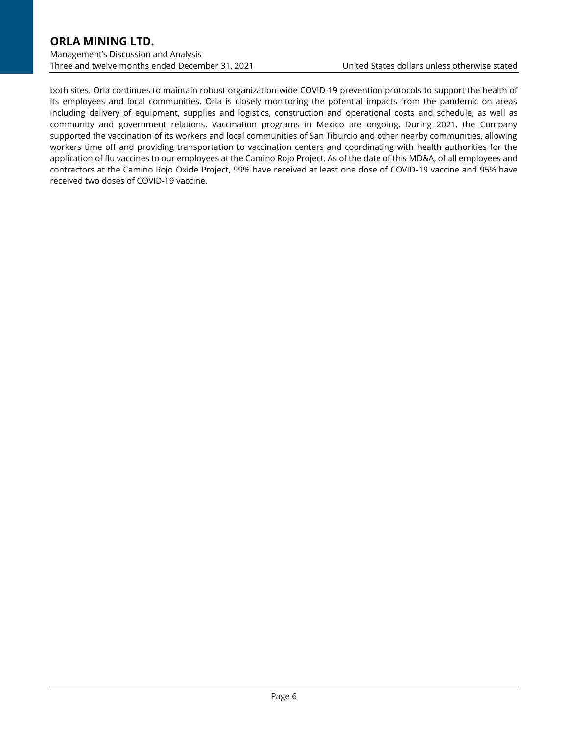both sites. Orla continues to maintain robust organization-wide COVID-19 prevention protocols to support the health of its employees and local communities. Orla is closely monitoring the potential impacts from the pandemic on areas including delivery of equipment, supplies and logistics, construction and operational costs and schedule, as well as community and government relations. Vaccination programs in Mexico are ongoing. During 2021, the Company supported the vaccination of its workers and local communities of San Tiburcio and other nearby communities, allowing workers time off and providing transportation to vaccination centers and coordinating with health authorities for the application of flu vaccines to our employees at the Camino Rojo Project. As of the date of this MD&A, of all employees and contractors at the Camino Rojo Oxide Project, 99% have received at least one dose of COVID-19 vaccine and 95% have received two doses of COVID-19 vaccine.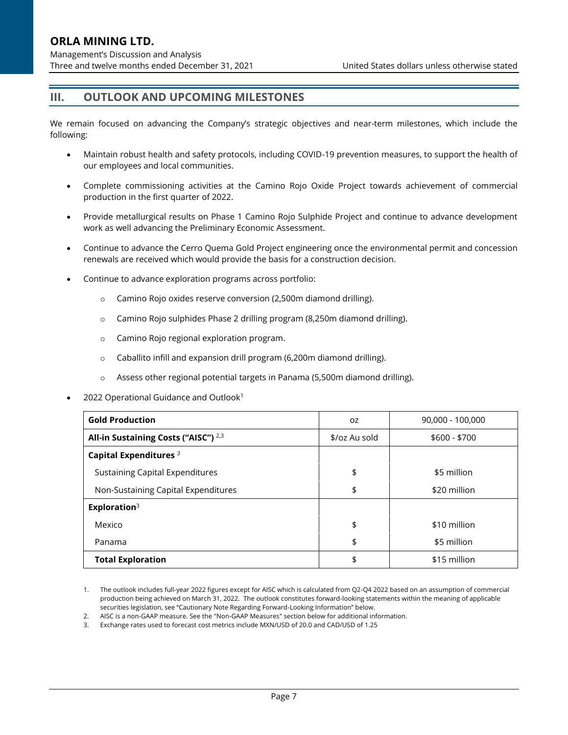## **III. OUTLOOK AND UPCOMING MILESTONES**

We remain focused on advancing the Company's strategic objectives and near-term milestones, which include the following:

- Maintain robust health and safety protocols, including COVID-19 prevention measures, to support the health of our employees and local communities.
- Complete commissioning activities at the Camino Rojo Oxide Project towards achievement of commercial production in the first quarter of 2022.
- Provide metallurgical results on Phase 1 Camino Rojo Sulphide Project and continue to advance development work as well advancing the Preliminary Economic Assessment.
- Continue to advance the Cerro Quema Gold Project engineering once the environmental permit and concession renewals are received which would provide the basis for a construction decision.
- Continue to advance exploration programs across portfolio:
	- o Camino Rojo oxides reserve conversion (2,500m diamond drilling).
	- o Camino Rojo sulphides Phase 2 drilling program (8,250m diamond drilling).
	- o Camino Rojo regional exploration program.
	- o Caballito infill and expansion drill program (6,200m diamond drilling).
	- o Assess other regional potential targets in Panama (5,500m diamond drilling).
- 2022 Operational Guidance and Outlook<sup>1</sup>

| <b>Gold Production</b>                          | <b>OZ</b>     | 90,000 - 100,000 |
|-------------------------------------------------|---------------|------------------|
| All-in Sustaining Costs ("AISC") <sup>2,3</sup> | \$/oz Au sold | $$600 - $700$    |
| Capital Expenditures <sup>3</sup>               |               |                  |
| <b>Sustaining Capital Expenditures</b>          | \$            | \$5 million      |
| Non-Sustaining Capital Expenditures             | \$            | \$20 million     |
| Exploration <sup>3</sup>                        |               |                  |
| Mexico                                          | \$            | \$10 million     |
| Panama                                          | \$            | \$5 million      |
| <b>Total Exploration</b>                        | \$            | \$15 million     |

<sup>1.</sup> The outlook includes full-year 2022 figures except for AISC which is calculated from Q2-Q4 2022 based on an assumption of commercial production being achieved on March 31, 2022. The outlook constitutes forward-looking statements within the meaning of applicable securities legislation, see "Cautionary Note Regarding Forward-Looking Information" below.

<sup>2.</sup> AISC is a non-GAAP measure. See the "Non-GAAP Measures" section below for additional information.

<sup>3.</sup> Exchange rates used to forecast cost metrics include MXN/USD of 20.0 and CAD/USD of 1.25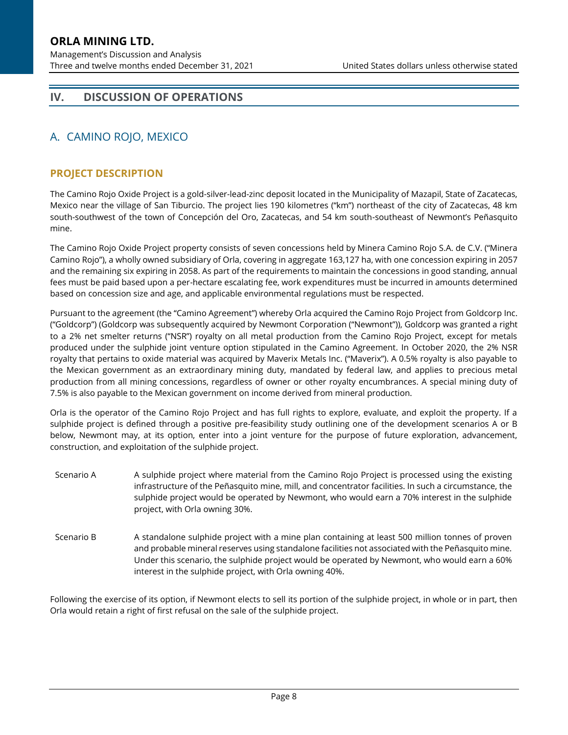## **ORLA MINING LTD.**

# **IV. DISCUSSION OF OPERATIONS**

# A. CAMINO ROJO, MEXICO

### **PROJECT DESCRIPTION**

The Camino Rojo Oxide Project is a gold-silver-lead-zinc deposit located in the Municipality of Mazapil, State of Zacatecas, Mexico near the village of San Tiburcio. The project lies 190 kilometres ("km") northeast of the city of Zacatecas, 48 km south-southwest of the town of Concepción del Oro, Zacatecas, and 54 km south-southeast of Newmont's Peñasquito mine.

The Camino Rojo Oxide Project property consists of seven concessions held by Minera Camino Rojo S.A. de C.V. ("Minera Camino Rojo"), a wholly owned subsidiary of Orla, covering in aggregate 163,127 ha, with one concession expiring in 2057 and the remaining six expiring in 2058. As part of the requirements to maintain the concessions in good standing, annual fees must be paid based upon a per-hectare escalating fee, work expenditures must be incurred in amounts determined based on concession size and age, and applicable environmental regulations must be respected.

Pursuant to the agreement (the "Camino Agreement") whereby Orla acquired the Camino Rojo Project from Goldcorp Inc. ("Goldcorp") (Goldcorp was subsequently acquired by Newmont Corporation ("Newmont")), Goldcorp was granted a right to a 2% net smelter returns ("NSR") royalty on all metal production from the Camino Rojo Project, except for metals produced under the sulphide joint venture option stipulated in the Camino Agreement. In October 2020, the 2% NSR royalty that pertains to oxide material was acquired by Maverix Metals Inc. ("Maverix"). A 0.5% royalty is also payable to the Mexican government as an extraordinary mining duty, mandated by federal law, and applies to precious metal production from all mining concessions, regardless of owner or other royalty encumbrances. A special mining duty of 7.5% is also payable to the Mexican government on income derived from mineral production.

Orla is the operator of the Camino Rojo Project and has full rights to explore, evaluate, and exploit the property. If a sulphide project is defined through a positive pre-feasibility study outlining one of the development scenarios A or B below, Newmont may, at its option, enter into a joint venture for the purpose of future exploration, advancement, construction, and exploitation of the sulphide project.

- Scenario A A sulphide project where material from the Camino Rojo Project is processed using the existing infrastructure of the Peñasquito mine, mill, and concentrator facilities. In such a circumstance, the sulphide project would be operated by Newmont, who would earn a 70% interest in the sulphide project, with Orla owning 30%.
- Scenario B A standalone sulphide project with a mine plan containing at least 500 million tonnes of proven and probable mineral reserves using standalone facilities not associated with the Peñasquito mine. Under this scenario, the sulphide project would be operated by Newmont, who would earn a 60% interest in the sulphide project, with Orla owning 40%.

Following the exercise of its option, if Newmont elects to sell its portion of the sulphide project, in whole or in part, then Orla would retain a right of first refusal on the sale of the sulphide project.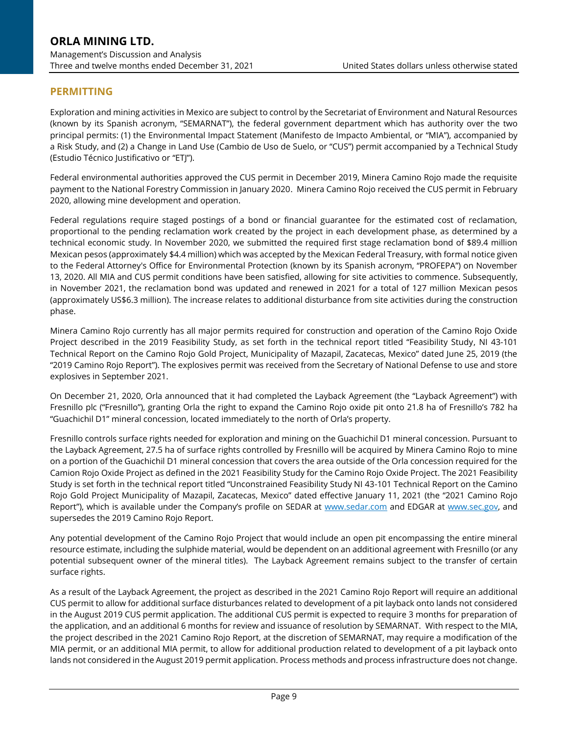## **PERMITTING**

Exploration and mining activities in Mexico are subject to control by the Secretariat of Environment and Natural Resources (known by its Spanish acronym, "SEMARNAT"), the federal government department which has authority over the two principal permits: (1) the Environmental Impact Statement (Manifesto de Impacto Ambiental, or "MIA"), accompanied by a Risk Study, and (2) a Change in Land Use (Cambio de Uso de Suelo, or "CUS") permit accompanied by a Technical Study (Estudio Técnico Justificativo or "ETJ").

Federal environmental authorities approved the CUS permit in December 2019, Minera Camino Rojo made the requisite payment to the National Forestry Commission in January 2020. Minera Camino Rojo received the CUS permit in February 2020, allowing mine development and operation.

Federal regulations require staged postings of a bond or financial guarantee for the estimated cost of reclamation, proportional to the pending reclamation work created by the project in each development phase, as determined by a technical economic study. In November 2020, we submitted the required first stage reclamation bond of \$89.4 million Mexican pesos (approximately \$4.4 million) which was accepted by the Mexican Federal Treasury, with formal notice given to the Federal Attorney's Office for Environmental Protection (known by its Spanish acronym, "PROFEPA") on November 13, 2020. All MIA and CUS permit conditions have been satisfied, allowing for site activities to commence. Subsequently, in November 2021, the reclamation bond was updated and renewed in 2021 for a total of 127 million Mexican pesos (approximately US\$6.3 million). The increase relates to additional disturbance from site activities during the construction phase.

Minera Camino Rojo currently has all major permits required for construction and operation of the Camino Rojo Oxide Project described in the 2019 Feasibility Study, as set forth in the technical report titled "Feasibility Study, NI 43-101 Technical Report on the Camino Rojo Gold Project, Municipality of Mazapil, Zacatecas, Mexico" dated June 25, 2019 (the "2019 Camino Rojo Report"). The explosives permit was received from the Secretary of National Defense to use and store explosives in September 2021.

On December 21, 2020, Orla announced that it had completed the Layback Agreement (the "Layback Agreement") with Fresnillo plc ("Fresnillo"), granting Orla the right to expand the Camino Rojo oxide pit onto 21.8 ha of Fresnillo's 782 ha "Guachichil D1" mineral concession, located immediately to the north of Orla's property.

Fresnillo controls surface rights needed for exploration and mining on the Guachichil D1 mineral concession. Pursuant to the Layback Agreement, 27.5 ha of surface rights controlled by Fresnillo will be acquired by Minera Camino Rojo to mine on a portion of the Guachichil D1 mineral concession that covers the area outside of the Orla concession required for the Camion Rojo Oxide Project as defined in the 2021 Feasibility Study for the Camino Rojo Oxide Project. The 2021 Feasibility Study is set forth in the technical report titled "Unconstrained Feasibility Study NI 43-101 Technical Report on the Camino Rojo Gold Project Municipality of Mazapil, Zacatecas, Mexico" dated effective January 11, 2021 (the "2021 Camino Rojo Report"), which is available under the Company's profile on SEDAR at [www.sedar.com](http://www.sedar.com/) and EDGAR at [www.sec.gov,](http://www.sec.gov/) and supersedes the 2019 Camino Rojo Report.

Any potential development of the Camino Rojo Project that would include an open pit encompassing the entire mineral resource estimate, including the sulphide material, would be dependent on an additional agreement with Fresnillo (or any potential subsequent owner of the mineral titles). The Layback Agreement remains subject to the transfer of certain surface rights.

As a result of the Layback Agreement, the project as described in the 2021 Camino Rojo Report will require an additional CUS permit to allow for additional surface disturbances related to development of a pit layback onto lands not considered in the August 2019 CUS permit application. The additional CUS permit is expected to require 3 months for preparation of the application, and an additional 6 months for review and issuance of resolution by SEMARNAT. With respect to the MIA, the project described in the 2021 Camino Rojo Report, at the discretion of SEMARNAT, may require a modification of the MIA permit, or an additional MIA permit, to allow for additional production related to development of a pit layback onto lands not considered in the August 2019 permit application. Process methods and process infrastructure does not change.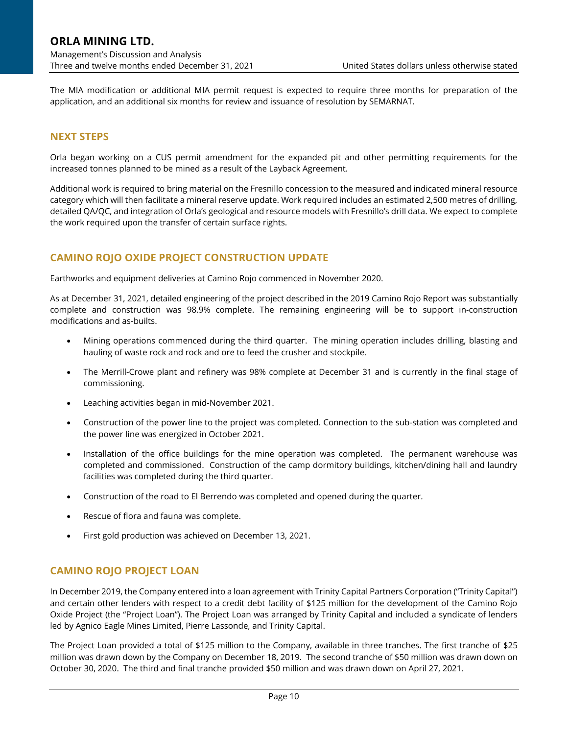The MIA modification or additional MIA permit request is expected to require three months for preparation of the application, and an additional six months for review and issuance of resolution by SEMARNAT.

#### **NEXT STEPS**

Orla began working on a CUS permit amendment for the expanded pit and other permitting requirements for the increased tonnes planned to be mined as a result of the Layback Agreement.

Additional work is required to bring material on the Fresnillo concession to the measured and indicated mineral resource category which will then facilitate a mineral reserve update. Work required includes an estimated 2,500 metres of drilling, detailed QA/QC, and integration of Orla's geological and resource models with Fresnillo's drill data. We expect to complete the work required upon the transfer of certain surface rights.

### **CAMINO ROJO OXIDE PROJECT CONSTRUCTION UPDATE**

Earthworks and equipment deliveries at Camino Rojo commenced in November 2020.

As at December 31, 2021, detailed engineering of the project described in the 2019 Camino Rojo Report was substantially complete and construction was 98.9% complete. The remaining engineering will be to support in-construction modifications and as-builts.

- Mining operations commenced during the third quarter. The mining operation includes drilling, blasting and hauling of waste rock and rock and ore to feed the crusher and stockpile.
- The Merrill-Crowe plant and refinery was 98% complete at December 31 and is currently in the final stage of commissioning.
- Leaching activities began in mid-November 2021.
- Construction of the power line to the project was completed. Connection to the sub-station was completed and the power line was energized in October 2021.
- Installation of the office buildings for the mine operation was completed. The permanent warehouse was completed and commissioned. Construction of the camp dormitory buildings, kitchen/dining hall and laundry facilities was completed during the third quarter.
- Construction of the road to El Berrendo was completed and opened during the quarter.
- Rescue of flora and fauna was complete.
- First gold production was achieved on December 13, 2021.

### **CAMINO ROJO PROJECT LOAN**

In December 2019, the Company entered into a loan agreement with Trinity Capital Partners Corporation ("Trinity Capital") and certain other lenders with respect to a credit debt facility of \$125 million for the development of the Camino Rojo Oxide Project (the "Project Loan"). The Project Loan was arranged by Trinity Capital and included a syndicate of lenders led by Agnico Eagle Mines Limited, Pierre Lassonde, and Trinity Capital.

The Project Loan provided a total of \$125 million to the Company, available in three tranches. The first tranche of \$25 million was drawn down by the Company on December 18, 2019. The second tranche of \$50 million was drawn down on October 30, 2020. The third and final tranche provided \$50 million and was drawn down on April 27, 2021.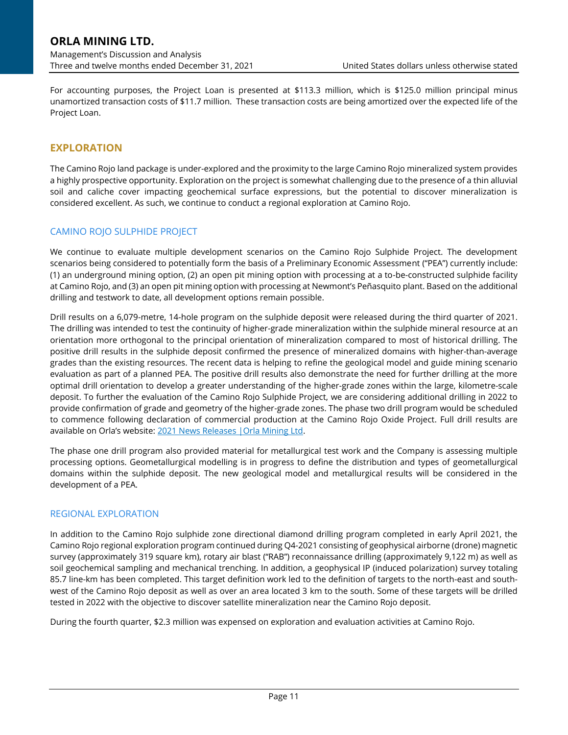For accounting purposes, the Project Loan is presented at \$113.3 million, which is \$125.0 million principal minus unamortized transaction costs of \$11.7 million. These transaction costs are being amortized over the expected life of the Project Loan.

## **EXPLORATION**

The Camino Rojo land package is under-explored and the proximity to the large Camino Rojo mineralized system provides a highly prospective opportunity. Exploration on the project is somewhat challenging due to the presence of a thin alluvial soil and caliche cover impacting geochemical surface expressions, but the potential to discover mineralization is considered excellent. As such, we continue to conduct a regional exploration at Camino Rojo.

### CAMINO ROJO SULPHIDE PROJECT

We continue to evaluate multiple development scenarios on the Camino Rojo Sulphide Project. The development scenarios being considered to potentially form the basis of a Preliminary Economic Assessment ("PEA") currently include: (1) an underground mining option, (2) an open pit mining option with processing at a to-be-constructed sulphide facility at Camino Rojo, and (3) an open pit mining option with processing at Newmont's Peñasquito plant. Based on the additional drilling and testwork to date, all development options remain possible.

Drill results on a 6,079-metre, 14-hole program on the sulphide deposit were released during the third quarter of 2021. The drilling was intended to test the continuity of higher-grade mineralization within the sulphide mineral resource at an orientation more orthogonal to the principal orientation of mineralization compared to most of historical drilling. The positive drill results in the sulphide deposit confirmed the presence of mineralized domains with higher-than-average grades than the existing resources. The recent data is helping to refine the geological model and guide mining scenario evaluation as part of a planned PEA. The positive drill results also demonstrate the need for further drilling at the more optimal drill orientation to develop a greater understanding of the higher-grade zones within the large, kilometre-scale deposit. To further the evaluation of the Camino Rojo Sulphide Project, we are considering additional drilling in 2022 to provide confirmation of grade and geometry of the higher-grade zones. The phase two drill program would be scheduled to commence following declaration of commercial production at the Camino Rojo Oxide Project. Full drill results are available on Orla's website: [2021 News Releases |Orla Mining Ltd.](https://www.orlamining.com/news/orla-mining-confirms-higher-grade-gold-zones-within-camino-rojo-sulphide-resource-and-provides-project-update/)

The phase one drill program also provided material for metallurgical test work and the Company is assessing multiple processing options. Geometallurgical modelling is in progress to define the distribution and types of geometallurgical domains within the sulphide deposit. The new geological model and metallurgical results will be considered in the development of a PEA.

#### REGIONAL EXPLORATION

In addition to the Camino Rojo sulphide zone directional diamond drilling program completed in early April 2021, the Camino Rojo regional exploration program continued during Q4-2021 consisting of geophysical airborne (drone) magnetic survey (approximately 319 square km), rotary air blast ("RAB") reconnaissance drilling (approximately 9,122 m) as well as soil geochemical sampling and mechanical trenching. In addition, a geophysical IP (induced polarization) survey totaling 85.7 line-km has been completed. This target definition work led to the definition of targets to the north-east and southwest of the Camino Rojo deposit as well as over an area located 3 km to the south. Some of these targets will be drilled tested in 2022 with the objective to discover satellite mineralization near the Camino Rojo deposit.

During the fourth quarter, \$2.3 million was expensed on exploration and evaluation activities at Camino Rojo.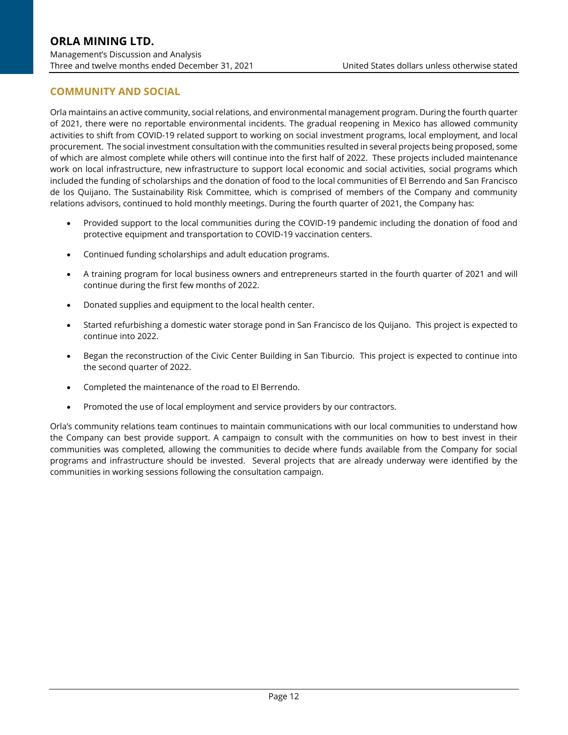### **COMMUNITY AND SOCIAL**

Orla maintains an active community, social relations, and environmental management program. During the fourth quarter of 2021, there were no reportable environmental incidents. The gradual reopening in Mexico has allowed community activities to shift from COVID-19 related support to working on social investment programs, local employment, and local procurement. The social investment consultation with the communities resulted in several projects being proposed, some of which are almost complete while others will continue into the first half of 2022. These projects included maintenance work on local infrastructure, new infrastructure to support local economic and social activities, social programs which included the funding of scholarships and the donation of food to the local communities of El Berrendo and San Francisco de los Quijano. The Sustainability Risk Committee, which is comprised of members of the Company and community relations advisors, continued to hold monthly meetings. During the fourth quarter of 2021, the Company has:

- Provided support to the local communities during the COVID-19 pandemic including the donation of food and protective equipment and transportation to COVID-19 vaccination centers.
- Continued funding scholarships and adult education programs.
- A training program for local business owners and entrepreneurs started in the fourth quarter of 2021 and will continue during the first few months of 2022.
- Donated supplies and equipment to the local health center.
- Started refurbishing a domestic water storage pond in San Francisco de los Quijano. This project is expected to continue into 2022.
- Began the reconstruction of the Civic Center Building in San Tiburcio. This project is expected to continue into the second quarter of 2022.
- Completed the maintenance of the road to El Berrendo.
- Promoted the use of local employment and service providers by our contractors.

Orla's community relations team continues to maintain communications with our local communities to understand how the Company can best provide support. A campaign to consult with the communities on how to best invest in their communities was completed, allowing the communities to decide where funds available from the Company for social programs and infrastructure should be invested. Several projects that are already underway were identified by the communities in working sessions following the consultation campaign.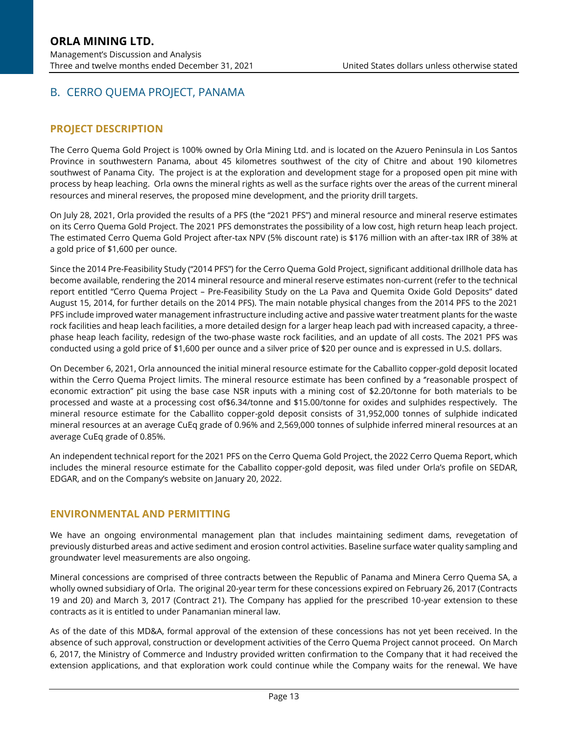# B. CERRO QUEMA PROJECT, PANAMA

#### **PROJECT DESCRIPTION**

The Cerro Quema Gold Project is 100% owned by Orla Mining Ltd. and is located on the Azuero Peninsula in Los Santos Province in southwestern Panama, about 45 kilometres southwest of the city of Chitre and about 190 kilometres southwest of Panama City. The project is at the exploration and development stage for a proposed open pit mine with process by heap leaching. Orla owns the mineral rights as well as the surface rights over the areas of the current mineral resources and mineral reserves, the proposed mine development, and the priority drill targets.

On July 28, 2021, Orla provided the results of a PFS (the "2021 PFS") and mineral resource and mineral reserve estimates on its Cerro Quema Gold Project. The 2021 PFS demonstrates the possibility of a low cost, high return heap leach project. The estimated Cerro Quema Gold Project after-tax NPV (5% discount rate) is \$176 million with an after-tax IRR of 38% at a gold price of \$1,600 per ounce.

Since the 2014 Pre-Feasibility Study ("2014 PFS") for the Cerro Quema Gold Project, significant additional drillhole data has become available, rendering the 2014 mineral resource and mineral reserve estimates non-current (refer to the technical report entitled "Cerro Quema Project – Pre-Feasibility Study on the La Pava and Quemita Oxide Gold Deposits" dated August 15, 2014, for further details on the 2014 PFS). The main notable physical changes from the 2014 PFS to the 2021 PFS include improved water management infrastructure including active and passive water treatment plants for the waste rock facilities and heap leach facilities, a more detailed design for a larger heap leach pad with increased capacity, a threephase heap leach facility, redesign of the two-phase waste rock facilities, and an update of all costs. The 2021 PFS was conducted using a gold price of \$1,600 per ounce and a silver price of \$20 per ounce and is expressed in U.S. dollars.

On December 6, 2021, Orla announced the initial mineral resource estimate for the Caballito copper-gold deposit located within the Cerro Quema Project limits. The mineral resource estimate has been confined by a ''reasonable prospect of economic extraction'' pit using the base case NSR inputs with a mining cost of \$2.20/tonne for both materials to be processed and waste at a processing cost of\$6.34/tonne and \$15.00/tonne for oxides and sulphides respectively. The mineral resource estimate for the Caballito copper-gold deposit consists of 31,952,000 tonnes of sulphide indicated mineral resources at an average CuEq grade of 0.96% and 2,569,000 tonnes of sulphide inferred mineral resources at an average CuEq grade of 0.85%.

An independent technical report for the 2021 PFS on the Cerro Quema Gold Project, the 2022 Cerro Quema Report, which includes the mineral resource estimate for the Caballito copper-gold deposit, was filed under Orla's profile on SEDAR, EDGAR, and on the Company's website on January 20, 2022.

#### **ENVIRONMENTAL AND PERMITTING**

We have an ongoing environmental management plan that includes maintaining sediment dams, revegetation of previously disturbed areas and active sediment and erosion control activities. Baseline surface water quality sampling and groundwater level measurements are also ongoing.

Mineral concessions are comprised of three contracts between the Republic of Panama and Minera Cerro Quema SA, a wholly owned subsidiary of Orla. The original 20-year term for these concessions expired on February 26, 2017 (Contracts 19 and 20) and March 3, 2017 (Contract 21). The Company has applied for the prescribed 10-year extension to these contracts as it is entitled to under Panamanian mineral law.

As of the date of this MD&A, formal approval of the extension of these concessions has not yet been received. In the absence of such approval, construction or development activities of the Cerro Quema Project cannot proceed. On March 6, 2017, the Ministry of Commerce and Industry provided written confirmation to the Company that it had received the extension applications, and that exploration work could continue while the Company waits for the renewal. We have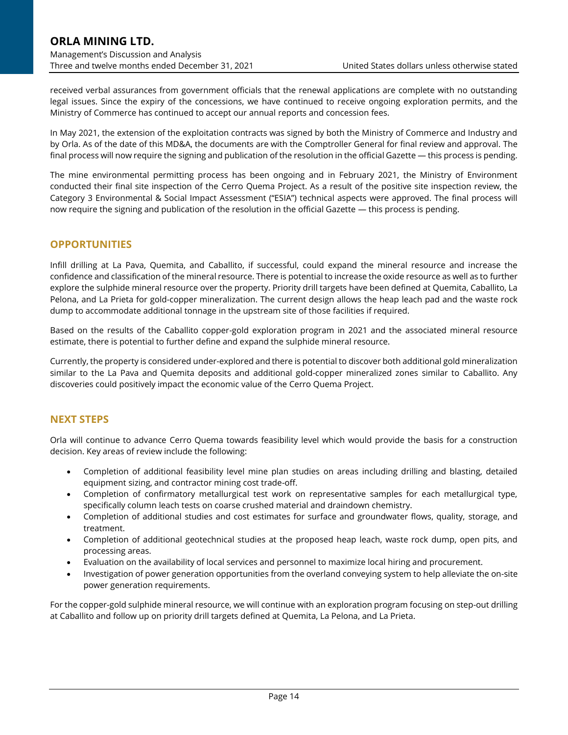received verbal assurances from government officials that the renewal applications are complete with no outstanding legal issues. Since the expiry of the concessions, we have continued to receive ongoing exploration permits, and the Ministry of Commerce has continued to accept our annual reports and concession fees.

In May 2021, the extension of the exploitation contracts was signed by both the Ministry of Commerce and Industry and by Orla. As of the date of this MD&A, the documents are with the Comptroller General for final review and approval. The final process will now require the signing and publication of the resolution in the official Gazette — this process is pending.

The mine environmental permitting process has been ongoing and in February 2021, the Ministry of Environment conducted their final site inspection of the Cerro Quema Project. As a result of the positive site inspection review, the Category 3 Environmental & Social Impact Assessment ("ESIA") technical aspects were approved. The final process will now require the signing and publication of the resolution in the official Gazette — this process is pending.

#### **OPPORTUNITIES**

Infill drilling at La Pava, Quemita, and Caballito, if successful, could expand the mineral resource and increase the confidence and classification of the mineral resource. There is potential to increase the oxide resource as well as to further explore the sulphide mineral resource over the property. Priority drill targets have been defined at Quemita, Caballito, La Pelona, and La Prieta for gold-copper mineralization. The current design allows the heap leach pad and the waste rock dump to accommodate additional tonnage in the upstream site of those facilities if required.

Based on the results of the Caballito copper-gold exploration program in 2021 and the associated mineral resource estimate, there is potential to further define and expand the sulphide mineral resource.

Currently, the property is considered under-explored and there is potential to discover both additional gold mineralization similar to the La Pava and Quemita deposits and additional gold-copper mineralized zones similar to Caballito. Any discoveries could positively impact the economic value of the Cerro Quema Project.

### **NEXT STEPS**

Orla will continue to advance Cerro Quema towards feasibility level which would provide the basis for a construction decision. Key areas of review include the following:

- Completion of additional feasibility level mine plan studies on areas including drilling and blasting, detailed equipment sizing, and contractor mining cost trade-off.
- Completion of confirmatory metallurgical test work on representative samples for each metallurgical type, specifically column leach tests on coarse crushed material and draindown chemistry.
- Completion of additional studies and cost estimates for surface and groundwater flows, quality, storage, and treatment.
- Completion of additional geotechnical studies at the proposed heap leach, waste rock dump, open pits, and processing areas.
- Evaluation on the availability of local services and personnel to maximize local hiring and procurement.
- Investigation of power generation opportunities from the overland conveying system to help alleviate the on-site power generation requirements.

For the copper-gold sulphide mineral resource, we will continue with an exploration program focusing on step-out drilling at Caballito and follow up on priority drill targets defined at Quemita, La Pelona, and La Prieta.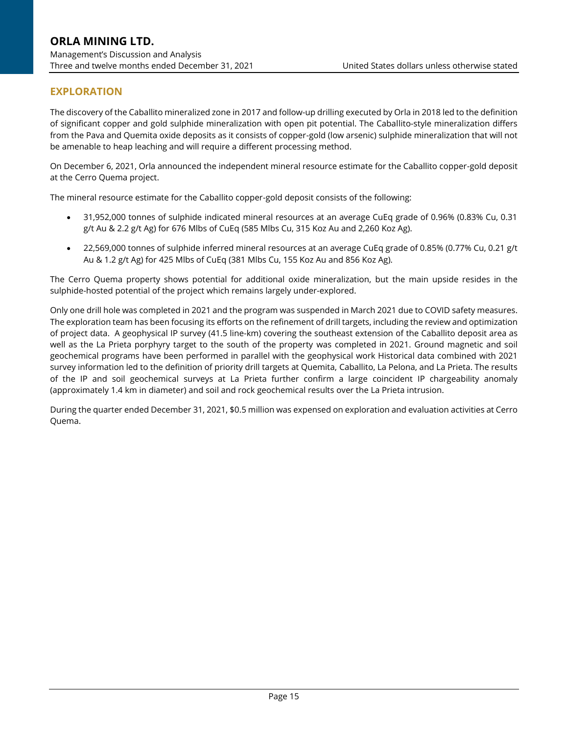## **EXPLORATION**

The discovery of the Caballito mineralized zone in 2017 and follow-up drilling executed by Orla in 2018 led to the definition of significant copper and gold sulphide mineralization with open pit potential. The Caballito-style mineralization differs from the Pava and Quemita oxide deposits as it consists of copper-gold (low arsenic) sulphide mineralization that will not be amenable to heap leaching and will require a different processing method.

On December 6, 2021, Orla announced the independent mineral resource estimate for the Caballito copper-gold deposit at the Cerro Quema project.

The mineral resource estimate for the Caballito copper-gold deposit consists of the following:

- 31,952,000 tonnes of sulphide indicated mineral resources at an average CuEq grade of 0.96% (0.83% Cu, 0.31 g/t Au & 2.2 g/t Ag) for 676 Mlbs of CuEq (585 Mlbs Cu, 315 Koz Au and 2,260 Koz Ag).
- 22,569,000 tonnes of sulphide inferred mineral resources at an average CuEq grade of 0.85% (0.77% Cu, 0.21 g/t Au & 1.2 g/t Ag) for 425 Mlbs of CuEq (381 Mlbs Cu, 155 Koz Au and 856 Koz Ag).

The Cerro Quema property shows potential for additional oxide mineralization, but the main upside resides in the sulphide-hosted potential of the project which remains largely under-explored.

Only one drill hole was completed in 2021 and the program was suspended in March 2021 due to COVID safety measures. The exploration team has been focusing its efforts on the refinement of drill targets, including the review and optimization of project data. A geophysical IP survey (41.5 line-km) covering the southeast extension of the Caballito deposit area as well as the La Prieta porphyry target to the south of the property was completed in 2021. Ground magnetic and soil geochemical programs have been performed in parallel with the geophysical work Historical data combined with 2021 survey information led to the definition of priority drill targets at Quemita, Caballito, La Pelona, and La Prieta. The results of the IP and soil geochemical surveys at La Prieta further confirm a large coincident IP chargeability anomaly (approximately 1.4 km in diameter) and soil and rock geochemical results over the La Prieta intrusion.

During the quarter ended December 31, 2021, \$0.5 million was expensed on exploration and evaluation activities at Cerro Quema.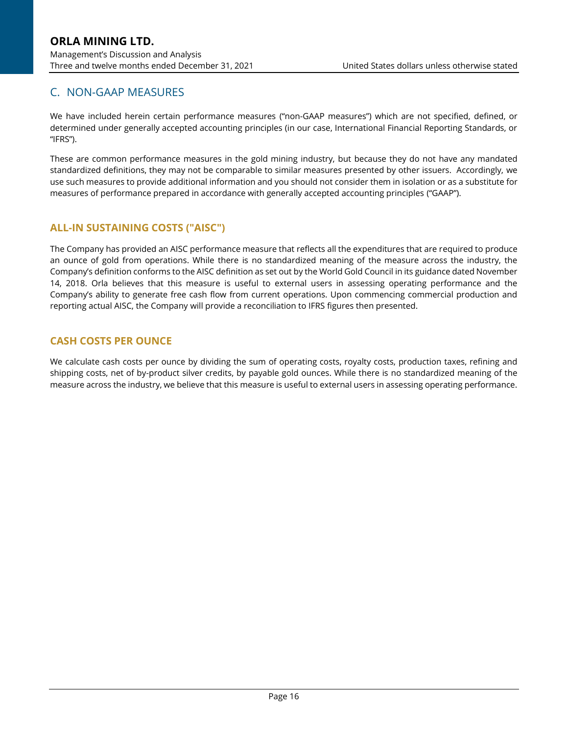# C. NON-GAAP MEASURES

We have included herein certain performance measures ("non-GAAP measures") which are not specified, defined, or determined under generally accepted accounting principles (in our case, International Financial Reporting Standards, or "IFRS").

These are common performance measures in the gold mining industry, but because they do not have any mandated standardized definitions, they may not be comparable to similar measures presented by other issuers. Accordingly, we use such measures to provide additional information and you should not consider them in isolation or as a substitute for measures of performance prepared in accordance with generally accepted accounting principles ("GAAP").

## **ALL-IN SUSTAINING COSTS ("AISC")**

The Company has provided an AISC performance measure that reflects all the expenditures that are required to produce an ounce of gold from operations. While there is no standardized meaning of the measure across the industry, the Company's definition conforms to the AISC definition as set out by the World Gold Council in its guidance dated November 14, 2018. Orla believes that this measure is useful to external users in assessing operating performance and the Company's ability to generate free cash flow from current operations. Upon commencing commercial production and reporting actual AISC, the Company will provide a reconciliation to IFRS figures then presented.

### **CASH COSTS PER OUNCE**

We calculate cash costs per ounce by dividing the sum of operating costs, royalty costs, production taxes, refining and shipping costs, net of by-product silver credits, by payable gold ounces. While there is no standardized meaning of the measure across the industry, we believe that this measure is useful to external users in assessing operating performance.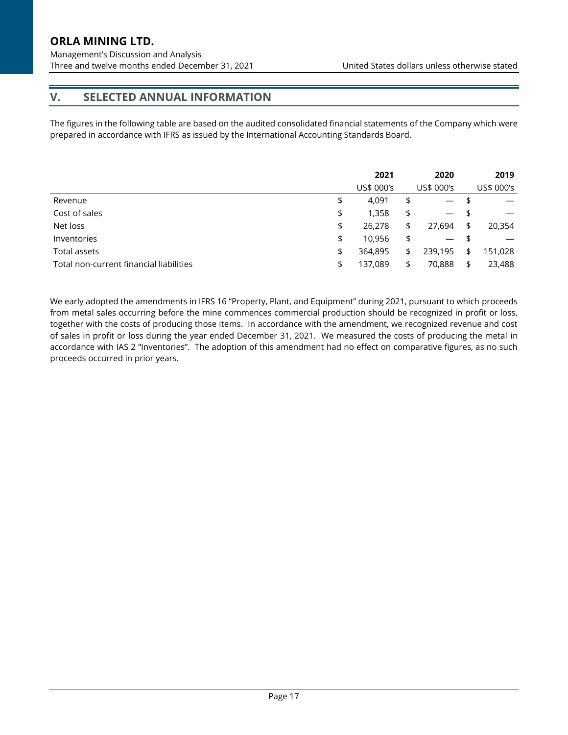# **ORLA MINING LTD.**

## **V. SELECTED ANNUAL INFORMATION**

The figures in the following table are based on the audited consolidated financial statements of the Company which were prepared in accordance with IFRS as issued by the International Accounting Standards Board.

|                                         | 2021          | 2020          |    | 2019       |
|-----------------------------------------|---------------|---------------|----|------------|
|                                         | US\$ 000's    | US\$ 000's    |    | US\$ 000's |
| Revenue                                 | \$<br>4,091   | \$            | \$ |            |
| Cost of sales                           | \$<br>1,358   | \$            | S  |            |
| Net loss                                | \$<br>26,278  | \$<br>27,694  | \$ | 20,354     |
| Inventories                             | \$<br>10.956  | \$            | \$ |            |
| Total assets                            | \$<br>364,895 | \$<br>239,195 | \$ | 151,028    |
| Total non-current financial liabilities | \$<br>137.089 | \$<br>70,888  | \$ | 23,488     |

We early adopted the amendments in IFRS 16 "Property, Plant, and Equipment" during 2021, pursuant to which proceeds from metal sales occurring before the mine commences commercial production should be recognized in profit or loss, together with the costs of producing those items. In accordance with the amendment, we recognized revenue and cost of sales in profit or loss during the year ended December 31, 2021. We measured the costs of producing the metal in accordance with IAS 2 "Inventories". The adoption of this amendment had no effect on comparative figures, as no such proceeds occurred in prior years.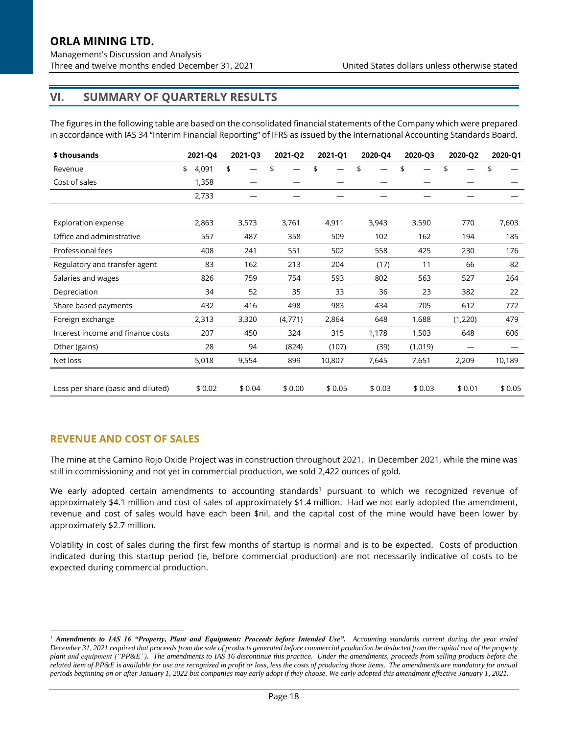## **VI. SUMMARY OF QUARTERLY RESULTS**

The figures in the following table are based on the consolidated financial statements of the Company which were prepared in accordance with IAS 34 "Interim Financial Reporting" of IFRS as issued by the International Accounting Standards Board.

| \$ thousands                       | 2021-04     | 2021-03 | <b>2021-Q2</b> | 2021-Q1 | 2020-Q4 | 2020-Q3 | 2020-Q2 | 2020-Q1 |
|------------------------------------|-------------|---------|----------------|---------|---------|---------|---------|---------|
| Revenue                            | 4,091<br>\$ | \$      | \$             | \$      | \$      | \$      |         |         |
| Cost of sales                      | 1,358       |         |                |         |         |         |         |         |
|                                    | 2,733       |         |                |         |         |         |         |         |
|                                    |             |         |                |         |         |         |         |         |
| <b>Exploration expense</b>         | 2,863       | 3,573   | 3,761          | 4,911   | 3,943   | 3,590   | 770     | 7,603   |
| Office and administrative          | 557         | 487     | 358            | 509     | 102     | 162     | 194     | 185     |
| Professional fees                  | 408         | 241     | 551            | 502     | 558     | 425     | 230     | 176     |
| Regulatory and transfer agent      | 83          | 162     | 213            | 204     | (17)    | 11      | 66      | 82      |
| Salaries and wages                 | 826         | 759     | 754            | 593     | 802     | 563     | 527     | 264     |
| Depreciation                       | 34          | 52      | 35             | 33      | 36      | 23      | 382     | 22      |
| Share based payments               | 432         | 416     | 498            | 983     | 434     | 705     | 612     | 772     |
| Foreign exchange                   | 2,313       | 3,320   | (4,771)        | 2,864   | 648     | 1,688   | (1,220) | 479     |
| Interest income and finance costs  | 207         | 450     | 324            | 315     | 1,178   | 1,503   | 648     | 606     |
| Other (gains)                      | 28          | 94      | (824)          | (107)   | (39)    | (1,019) |         |         |
| Net loss                           | 5,018       | 9,554   | 899            | 10,807  | 7,645   | 7,651   | 2,209   | 10,189  |
|                                    |             |         |                |         |         |         |         |         |
| Loss per share (basic and diluted) | \$0.02      | \$0.04  | \$0.00         | \$0.05  | \$0.03  | \$0.03  | \$0.01  | \$0.05  |

### **REVENUE AND COST OF SALES**

The mine at the Camino Rojo Oxide Project was in construction throughout 2021. In December 2021, while the mine was still in commissioning and not yet in commercial production, we sold 2,422 ounces of gold.

We early adopted certain amendments to accounting standards<sup>1</sup> pursuant to which we recognized revenue of approximately \$4.1 million and cost of sales of approximately \$1.4 million. Had we not early adopted the amendment, revenue and cost of sales would have each been \$nil, and the capital cost of the mine would have been lower by approximately \$2.7 million.

Volatility in cost of sales during the first few months of startup is normal and is to be expected. Costs of production indicated during this startup period (ie, before commercial production) are not necessarily indicative of costs to be expected during commercial production.

*<sup>1</sup> Amendments to IAS 16 "Property, Plant and Equipment: Proceeds before Intended Use". Accounting standards current during the year ended December 31, 2021 required that proceeds from the sale of products generated before commercial production be deducted from the capital cost of the property plant and equipment ("PP&E"). The amendments to IAS 16 discontinue this practice. Under the amendments, proceeds from selling products before the related item of PP&E is available for use are recognized in profit or loss, less the costs of producing those items. The amendments are mandatory for annual periods beginning on or after January 1, 2022 but companies may early adopt if they choose. We early adopted this amendment effective January 1, 2021.*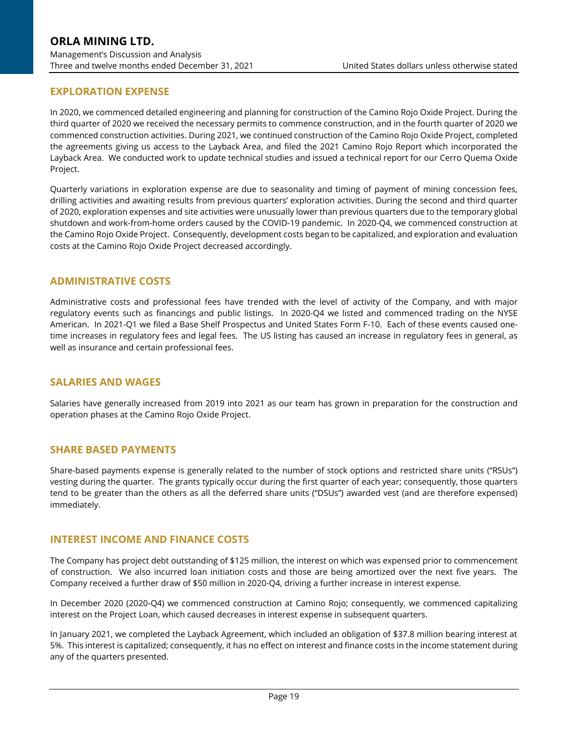## **EXPLORATION EXPENSE**

In 2020, we commenced detailed engineering and planning for construction of the Camino Rojo Oxide Project. During the third quarter of 2020 we received the necessary permits to commence construction, and in the fourth quarter of 2020 we commenced construction activities. During 2021, we continued construction of the Camino Rojo Oxide Project, completed the agreements giving us access to the Layback Area, and filed the 2021 Camino Rojo Report which incorporated the Layback Area. We conducted work to update technical studies and issued a technical report for our Cerro Quema Oxide Project.

Quarterly variations in exploration expense are due to seasonality and timing of payment of mining concession fees, drilling activities and awaiting results from previous quarters' exploration activities. During the second and third quarter of 2020, exploration expenses and site activities were unusually lower than previous quarters due to the temporary global shutdown and work-from-home orders caused by the COVID-19 pandemic. In 2020-Q4, we commenced construction at the Camino Rojo Oxide Project. Consequently, development costs began to be capitalized, and exploration and evaluation costs at the Camino Rojo Oxide Project decreased accordingly.

### **ADMINISTRATIVE COSTS**

Administrative costs and professional fees have trended with the level of activity of the Company, and with major regulatory events such as financings and public listings. In 2020-Q4 we listed and commenced trading on the NYSE American. In 2021-Q1 we filed a Base Shelf Prospectus and United States Form F-10. Each of these events caused onetime increases in regulatory fees and legal fees. The US listing has caused an increase in regulatory fees in general, as well as insurance and certain professional fees.

#### **SALARIES AND WAGES**

Salaries have generally increased from 2019 into 2021 as our team has grown in preparation for the construction and operation phases at the Camino Rojo Oxide Project.

#### **SHARE BASED PAYMENTS**

Share-based payments expense is generally related to the number of stock options and restricted share units ("RSUs") vesting during the quarter. The grants typically occur during the first quarter of each year; consequently, those quarters tend to be greater than the others as all the deferred share units ("DSUs") awarded vest (and are therefore expensed) immediately.

#### **INTEREST INCOME AND FINANCE COSTS**

The Company has project debt outstanding of \$125 million, the interest on which was expensed prior to commencement of construction. We also incurred loan initiation costs and those are being amortized over the next five years. The Company received a further draw of \$50 million in 2020-Q4, driving a further increase in interest expense.

In December 2020 (2020-Q4) we commenced construction at Camino Rojo; consequently, we commenced capitalizing interest on the Project Loan, which caused decreases in interest expense in subsequent quarters.

In January 2021, we completed the Layback Agreement, which included an obligation of \$37.8 million bearing interest at 5%. This interest is capitalized; consequently, it has no effect on interest and finance costs in the income statement during any of the quarters presented.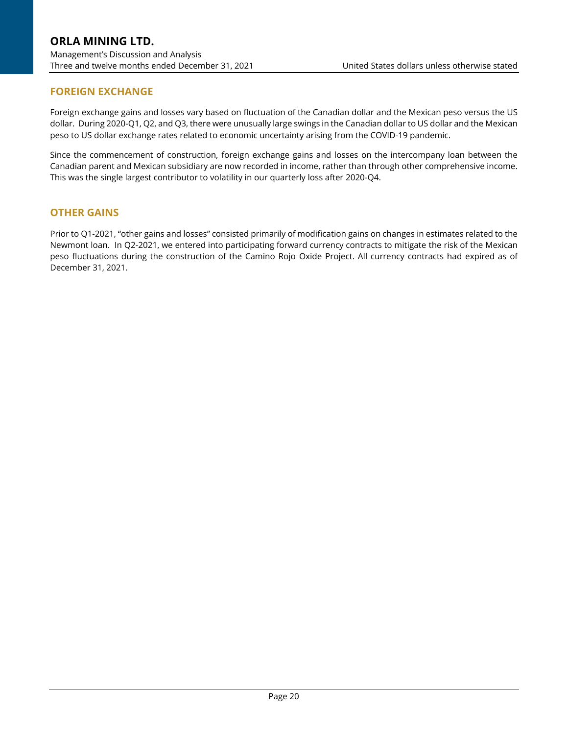## **FOREIGN EXCHANGE**

Foreign exchange gains and losses vary based on fluctuation of the Canadian dollar and the Mexican peso versus the US dollar. During 2020-Q1, Q2, and Q3, there were unusually large swings in the Canadian dollar to US dollar and the Mexican peso to US dollar exchange rates related to economic uncertainty arising from the COVID-19 pandemic.

Since the commencement of construction, foreign exchange gains and losses on the intercompany loan between the Canadian parent and Mexican subsidiary are now recorded in income, rather than through other comprehensive income. This was the single largest contributor to volatility in our quarterly loss after 2020-Q4.

#### **OTHER GAINS**

Prior to Q1-2021, "other gains and losses" consisted primarily of modification gains on changes in estimates related to the Newmont loan. In Q2-2021, we entered into participating forward currency contracts to mitigate the risk of the Mexican peso fluctuations during the construction of the Camino Rojo Oxide Project. All currency contracts had expired as of December 31, 2021.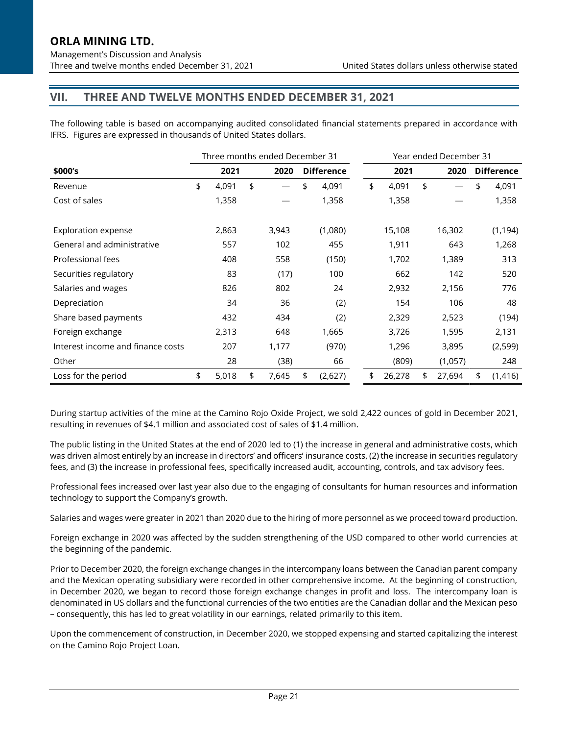# **VII. THREE AND TWELVE MONTHS ENDED DECEMBER 31, 2021**

The following table is based on accompanying audited consolidated financial statements prepared in accordance with IFRS. Figures are expressed in thousands of United States dollars.

|                                   | Three months ended December 31 |       |    |       |    |                   | Year ended December 31 |              |                   |
|-----------------------------------|--------------------------------|-------|----|-------|----|-------------------|------------------------|--------------|-------------------|
| \$000's                           |                                | 2021  |    | 2020  |    | <b>Difference</b> | 2021                   | 2020         | <b>Difference</b> |
| Revenue                           | \$                             | 4,091 | \$ |       | \$ | 4,091             | \$<br>4,091            | \$           | \$<br>4,091       |
| Cost of sales                     |                                | 1,358 |    |       |    | 1,358             | 1,358                  |              | 1,358             |
|                                   |                                |       |    |       |    |                   |                        |              |                   |
| <b>Exploration expense</b>        |                                | 2,863 |    | 3,943 |    | (1,080)           | 15,108                 | 16,302       | (1, 194)          |
| General and administrative        |                                | 557   |    | 102   |    | 455               | 1,911                  | 643          | 1,268             |
| Professional fees                 |                                | 408   |    | 558   |    | (150)             | 1,702                  | 1,389        | 313               |
| Securities regulatory             |                                | 83    |    | (17)  |    | 100               | 662                    | 142          | 520               |
| Salaries and wages                |                                | 826   |    | 802   |    | 24                | 2,932                  | 2,156        | 776               |
| Depreciation                      |                                | 34    |    | 36    |    | (2)               | 154                    | 106          | 48                |
| Share based payments              |                                | 432   |    | 434   |    | (2)               | 2,329                  | 2,523        | (194)             |
| Foreign exchange                  |                                | 2,313 |    | 648   |    | 1,665             | 3,726                  | 1,595        | 2,131             |
| Interest income and finance costs |                                | 207   |    | 1,177 |    | (970)             | 1,296                  | 3,895        | (2,599)           |
| Other                             |                                | 28    |    | (38)  |    | 66                | (809)                  | (1,057)      | 248               |
| Loss for the period               | \$                             | 5,018 | \$ | 7,645 | \$ | (2,627)           | \$<br>26,278           | \$<br>27,694 | \$<br>(1, 416)    |

During startup activities of the mine at the Camino Rojo Oxide Project, we sold 2,422 ounces of gold in December 2021, resulting in revenues of \$4.1 million and associated cost of sales of \$1.4 million.

The public listing in the United States at the end of 2020 led to (1) the increase in general and administrative costs, which was driven almost entirely by an increase in directors' and officers' insurance costs, (2) the increase in securities regulatory fees, and (3) the increase in professional fees, specifically increased audit, accounting, controls, and tax advisory fees.

Professional fees increased over last year also due to the engaging of consultants for human resources and information technology to support the Company's growth.

Salaries and wages were greater in 2021 than 2020 due to the hiring of more personnel as we proceed toward production.

Foreign exchange in 2020 was affected by the sudden strengthening of the USD compared to other world currencies at the beginning of the pandemic.

Prior to December 2020, the foreign exchange changes in the intercompany loans between the Canadian parent company and the Mexican operating subsidiary were recorded in other comprehensive income. At the beginning of construction, in December 2020, we began to record those foreign exchange changes in profit and loss. The intercompany loan is denominated in US dollars and the functional currencies of the two entities are the Canadian dollar and the Mexican peso – consequently, this has led to great volatility in our earnings, related primarily to this item.

Upon the commencement of construction, in December 2020, we stopped expensing and started capitalizing the interest on the Camino Rojo Project Loan.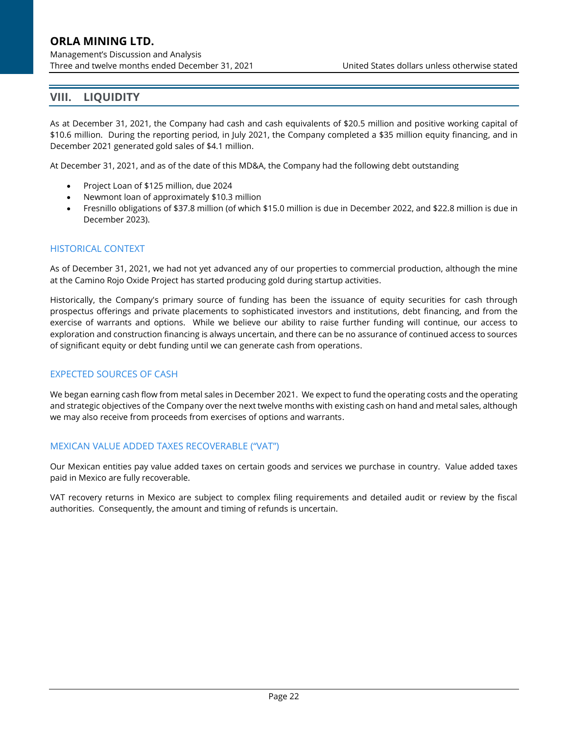# **VIII. LIQUIDITY**

As at December 31, 2021, the Company had cash and cash equivalents of \$20.5 million and positive working capital of \$10.6 million. During the reporting period, in July 2021, the Company completed a \$35 million equity financing, and in December 2021 generated gold sales of \$4.1 million.

At December 31, 2021, and as of the date of this MD&A, the Company had the following debt outstanding

- Project Loan of \$125 million, due 2024
- Newmont loan of approximately \$10.3 million
- Fresnillo obligations of \$37.8 million (of which \$15.0 million is due in December 2022, and \$22.8 million is due in December 2023).

#### HISTORICAL CONTEXT

As of December 31, 2021, we had not yet advanced any of our properties to commercial production, although the mine at the Camino Rojo Oxide Project has started producing gold during startup activities.

Historically, the Company's primary source of funding has been the issuance of equity securities for cash through prospectus offerings and private placements to sophisticated investors and institutions, debt financing, and from the exercise of warrants and options. While we believe our ability to raise further funding will continue, our access to exploration and construction financing is always uncertain, and there can be no assurance of continued access to sources of significant equity or debt funding until we can generate cash from operations.

#### EXPECTED SOURCES OF CASH

We began earning cash flow from metal sales in December 2021. We expect to fund the operating costs and the operating and strategic objectives of the Company over the next twelve months with existing cash on hand and metal sales, although we may also receive from proceeds from exercises of options and warrants.

#### MEXICAN VALUE ADDED TAXES RECOVERABLE ("VAT")

Our Mexican entities pay value added taxes on certain goods and services we purchase in country. Value added taxes paid in Mexico are fully recoverable.

VAT recovery returns in Mexico are subject to complex filing requirements and detailed audit or review by the fiscal authorities. Consequently, the amount and timing of refunds is uncertain.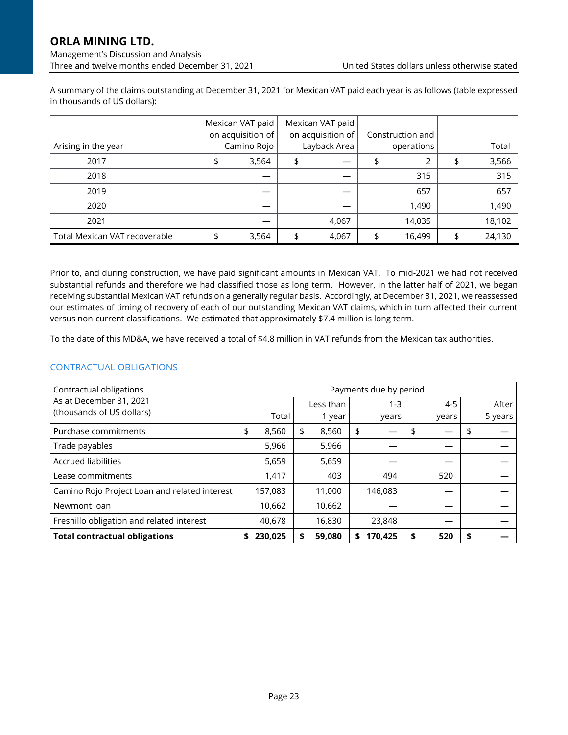A summary of the claims outstanding at December 31, 2021 for Mexican VAT paid each year is as follows (table expressed in thousands of US dollars):

| Arising in the year           | Mexican VAT paid<br>Mexican VAT paid<br>on acquisition of<br>on acquisition of<br>Layback Area<br>Camino Rojo |    |       |  | Construction and<br>operations | Total        |
|-------------------------------|---------------------------------------------------------------------------------------------------------------|----|-------|--|--------------------------------|--------------|
|                               |                                                                                                               |    |       |  |                                |              |
| 2017                          | \$<br>3,564                                                                                                   | \$ |       |  | 2                              | \$<br>3,566  |
| 2018                          |                                                                                                               |    |       |  | 315                            | 315          |
| 2019                          |                                                                                                               |    |       |  | 657                            | 657          |
| 2020                          |                                                                                                               |    |       |  | 1,490                          | 1,490        |
| 2021                          |                                                                                                               |    | 4,067 |  | 14,035                         | 18,102       |
| Total Mexican VAT recoverable | 3,564                                                                                                         |    | 4,067 |  | 16,499                         | \$<br>24,130 |

Prior to, and during construction, we have paid significant amounts in Mexican VAT. To mid-2021 we had not received substantial refunds and therefore we had classified those as long term. However, in the latter half of 2021, we began receiving substantial Mexican VAT refunds on a generally regular basis. Accordingly, at December 31, 2021, we reassessed our estimates of timing of recovery of each of our outstanding Mexican VAT claims, which in turn affected their current versus non-current classifications. We estimated that approximately \$7.4 million is long term.

To the date of this MD&A, we have received a total of \$4.8 million in VAT refunds from the Mexican tax authorities.

#### CONTRACTUAL OBLIGATIONS

| Contractual obligations                       | Payments due by period |         |    |           |    |         |    |         |    |         |  |
|-----------------------------------------------|------------------------|---------|----|-----------|----|---------|----|---------|----|---------|--|
| As at December 31, 2021                       |                        |         |    | Less than |    | $1 - 3$ |    | $4 - 5$ |    | After   |  |
| (thousands of US dollars)                     |                        | Total   |    | 1 year    |    | years   |    | years   |    | 5 years |  |
| Purchase commitments                          | \$                     | 8,560   | \$ | 8,560     | \$ |         | \$ |         | \$ |         |  |
| Trade payables                                |                        | 5,966   |    | 5,966     |    |         |    |         |    |         |  |
| <b>Accrued liabilities</b>                    |                        | 5,659   |    | 5,659     |    |         |    |         |    |         |  |
| Lease commitments                             |                        | 1,417   |    | 403       |    | 494     |    | 520     |    |         |  |
| Camino Rojo Project Loan and related interest |                        | 157,083 |    | 11,000    |    | 146,083 |    |         |    |         |  |
| Newmont loan                                  |                        | 10,662  |    | 10,662    |    |         |    |         |    |         |  |
| Fresnillo obligation and related interest     |                        | 40,678  |    | 16,830    |    | 23,848  |    |         |    |         |  |
| <b>Total contractual obligations</b>          | S                      | 230,025 | \$ | 59,080    | s  | 170,425 | \$ | 520     | S  |         |  |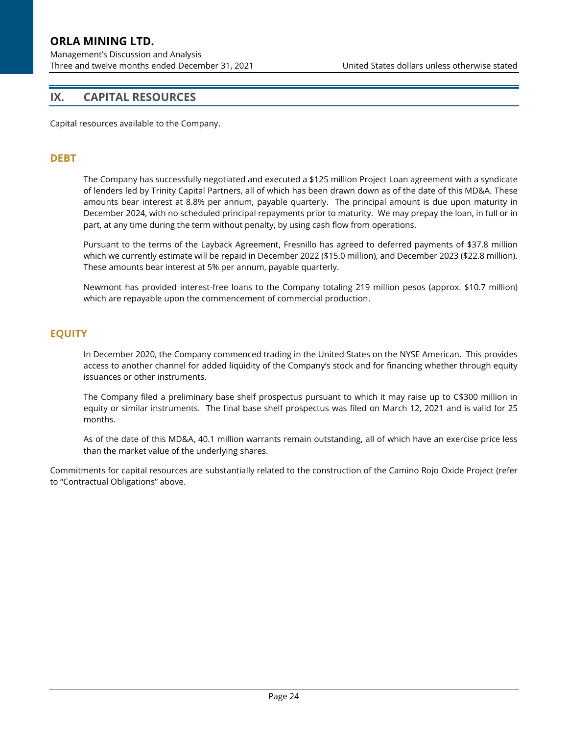# **ORLA MINING LTD.**

## **IX. CAPITAL RESOURCES**

Capital resources available to the Company.

#### **DEBT**

The Company has successfully negotiated and executed a \$125 million Project Loan agreement with a syndicate of lenders led by Trinity Capital Partners, all of which has been drawn down as of the date of this MD&A. These amounts bear interest at 8.8% per annum, payable quarterly. The principal amount is due upon maturity in December 2024, with no scheduled principal repayments prior to maturity. We may prepay the loan, in full or in part, at any time during the term without penalty, by using cash flow from operations.

Pursuant to the terms of the Layback Agreement, Fresnillo has agreed to deferred payments of \$37.8 million which we currently estimate will be repaid in December 2022 (\$15.0 million), and December 2023 (\$22.8 million). These amounts bear interest at 5% per annum, payable quarterly.

Newmont has provided interest-free loans to the Company totaling 219 million pesos (approx. \$10.7 million) which are repayable upon the commencement of commercial production.

### **EQUITY**

In December 2020, the Company commenced trading in the United States on the NYSE American. This provides access to another channel for added liquidity of the Company's stock and for financing whether through equity issuances or other instruments.

The Company filed a preliminary base shelf prospectus pursuant to which it may raise up to C\$300 million in equity or similar instruments. The final base shelf prospectus was filed on March 12, 2021 and is valid for 25 months.

As of the date of this MD&A, 40.1 million warrants remain outstanding, all of which have an exercise price less than the market value of the underlying shares.

Commitments for capital resources are substantially related to the construction of the Camino Rojo Oxide Project (refer to "Contractual Obligations" above.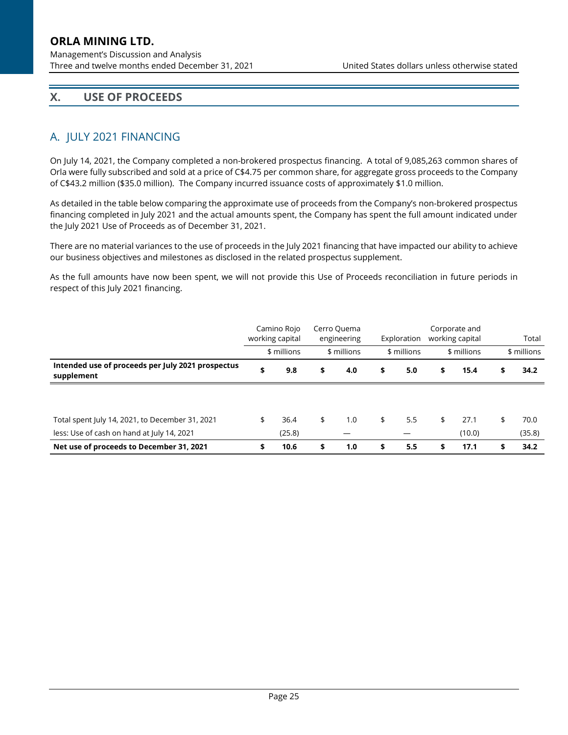# **ORLA MINING LTD.**

# **X. USE OF PROCEEDS**

# A. JULY 2021 FINANCING

On July 14, 2021, the Company completed a non-brokered prospectus financing. A total of 9,085,263 common shares of Orla were fully subscribed and sold at a price of C\$4.75 per common share, for aggregate gross proceeds to the Company of C\$43.2 million (\$35.0 million). The Company incurred issuance costs of approximately \$1.0 million.

As detailed in the table below comparing the approximate use of proceeds from the Company's non-brokered prospectus financing completed in July 2021 and the actual amounts spent, the Company has spent the full amount indicated under the July 2021 Use of Proceeds as of December 31, 2021.

There are no material variances to the use of proceeds in the July 2021 financing that have impacted our ability to achieve our business objectives and milestones as disclosed in the related prospectus supplement.

As the full amounts have now been spent, we will not provide this Use of Proceeds reconciliation in future periods in respect of this July 2021 financing.

|                                                                 | Camino Rojo<br>working capital |             | Cerro Quema<br>engineering |             | Exploration | Corporate and<br>working capital | Total |             |  |
|-----------------------------------------------------------------|--------------------------------|-------------|----------------------------|-------------|-------------|----------------------------------|-------|-------------|--|
|                                                                 |                                | \$ millions |                            | \$ millions | \$ millions | \$ millions                      |       | \$ millions |  |
| Intended use of proceeds per July 2021 prospectus<br>supplement | \$                             | 9.8         | \$                         | 4.0         | \$<br>5.0   | \$<br>15.4                       | S     | 34.2        |  |
|                                                                 |                                |             |                            |             |             |                                  |       |             |  |
| Total spent July 14, 2021, to December 31, 2021                 | S                              | 36.4        | \$                         | 1.0         | \$<br>5.5   | \$<br>27.1                       | \$    | 70.0        |  |
| less: Use of cash on hand at July 14, 2021                      |                                | (25.8)      |                            |             |             | (10.0)                           |       | (35.8)      |  |
| Net use of proceeds to December 31, 2021                        | \$                             | 10.6        | \$                         | 1.0         | \$<br>5.5   | \$<br>17.1                       | \$    | 34.2        |  |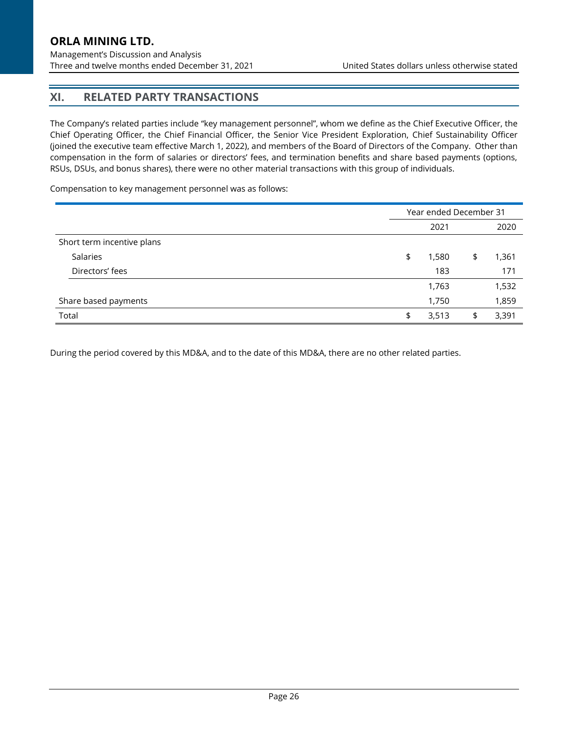# **XI. RELATED PARTY TRANSACTIONS**

The Company's related parties include "key management personnel", whom we define as the Chief Executive Officer, the Chief Operating Officer, the Chief Financial Officer, the Senior Vice President Exploration, Chief Sustainability Officer (joined the executive team effective March 1, 2022), and members of the Board of Directors of the Company. Other than compensation in the form of salaries or directors' fees, and termination benefits and share based payments (options, RSUs, DSUs, and bonus shares), there were no other material transactions with this group of individuals.

Compensation to key management personnel was as follows:

|                            |    | Year ended December 31 |    |       |
|----------------------------|----|------------------------|----|-------|
|                            |    | 2021                   |    | 2020  |
| Short term incentive plans |    |                        |    |       |
| Salaries                   | \$ | 1,580                  | \$ | 1,361 |
| Directors' fees            |    | 183                    |    | 171   |
|                            |    | 1,763                  |    | 1,532 |
| Share based payments       |    | 1,750                  |    | 1,859 |
| Total                      | \$ | 3,513                  | \$ | 3,391 |

During the period covered by this MD&A, and to the date of this MD&A, there are no other related parties.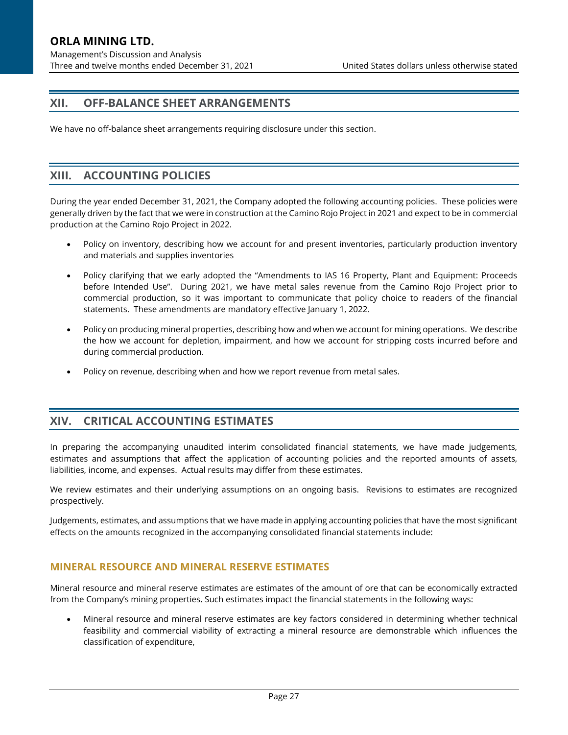## **XII. OFF-BALANCE SHEET ARRANGEMENTS**

We have no off-balance sheet arrangements requiring disclosure under this section.

## **XIII. ACCOUNTING POLICIES**

During the year ended December 31, 2021, the Company adopted the following accounting policies. These policies were generally driven by the fact that we were in construction at the Camino Rojo Project in 2021 and expect to be in commercial production at the Camino Rojo Project in 2022.

- Policy on inventory, describing how we account for and present inventories, particularly production inventory and materials and supplies inventories
- Policy clarifying that we early adopted the "Amendments to IAS 16 Property, Plant and Equipment: Proceeds before Intended Use". During 2021, we have metal sales revenue from the Camino Rojo Project prior to commercial production, so it was important to communicate that policy choice to readers of the financial statements. These amendments are mandatory effective January 1, 2022.
- Policy on producing mineral properties, describing how and when we account for mining operations. We describe the how we account for depletion, impairment, and how we account for stripping costs incurred before and during commercial production.
- Policy on revenue, describing when and how we report revenue from metal sales.

### **XIV. CRITICAL ACCOUNTING ESTIMATES**

In preparing the accompanying unaudited interim consolidated financial statements, we have made judgements, estimates and assumptions that affect the application of accounting policies and the reported amounts of assets, liabilities, income, and expenses. Actual results may differ from these estimates.

We review estimates and their underlying assumptions on an ongoing basis. Revisions to estimates are recognized prospectively.

Judgements, estimates, and assumptions that we have made in applying accounting policies that have the most significant effects on the amounts recognized in the accompanying consolidated financial statements include:

#### **MINERAL RESOURCE AND MINERAL RESERVE ESTIMATES**

Mineral resource and mineral reserve estimates are estimates of the amount of ore that can be economically extracted from the Company's mining properties. Such estimates impact the financial statements in the following ways:

• Mineral resource and mineral reserve estimates are key factors considered in determining whether technical feasibility and commercial viability of extracting a mineral resource are demonstrable which influences the classification of expenditure,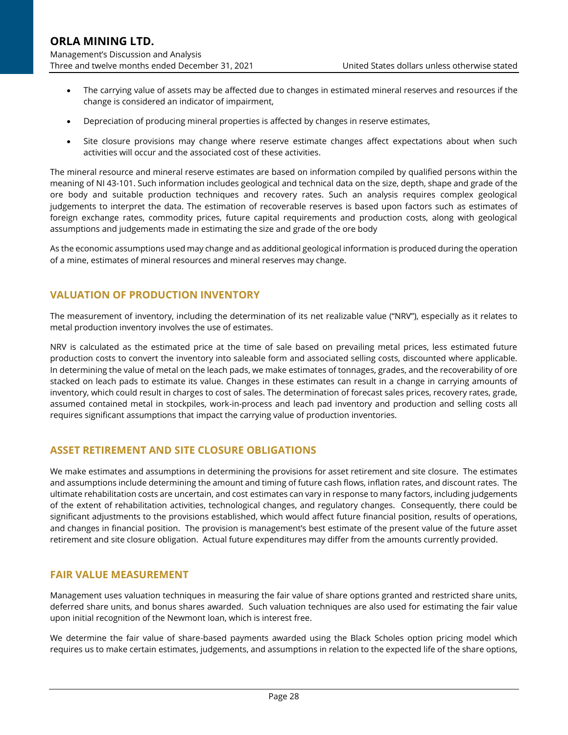- The carrying value of assets may be affected due to changes in estimated mineral reserves and resources if the change is considered an indicator of impairment,
- Depreciation of producing mineral properties is affected by changes in reserve estimates,
- Site closure provisions may change where reserve estimate changes affect expectations about when such activities will occur and the associated cost of these activities.

The mineral resource and mineral reserve estimates are based on information compiled by qualified persons within the meaning of NI 43-101. Such information includes geological and technical data on the size, depth, shape and grade of the ore body and suitable production techniques and recovery rates. Such an analysis requires complex geological judgements to interpret the data. The estimation of recoverable reserves is based upon factors such as estimates of foreign exchange rates, commodity prices, future capital requirements and production costs, along with geological assumptions and judgements made in estimating the size and grade of the ore body

As the economic assumptions used may change and as additional geological information is produced during the operation of a mine, estimates of mineral resources and mineral reserves may change.

#### **VALUATION OF PRODUCTION INVENTORY**

The measurement of inventory, including the determination of its net realizable value ("NRV"), especially as it relates to metal production inventory involves the use of estimates.

NRV is calculated as the estimated price at the time of sale based on prevailing metal prices, less estimated future production costs to convert the inventory into saleable form and associated selling costs, discounted where applicable. In determining the value of metal on the leach pads, we make estimates of tonnages, grades, and the recoverability of ore stacked on leach pads to estimate its value. Changes in these estimates can result in a change in carrying amounts of inventory, which could result in charges to cost of sales. The determination of forecast sales prices, recovery rates, grade, assumed contained metal in stockpiles, work-in-process and leach pad inventory and production and selling costs all requires significant assumptions that impact the carrying value of production inventories.

#### **ASSET RETIREMENT AND SITE CLOSURE OBLIGATIONS**

We make estimates and assumptions in determining the provisions for asset retirement and site closure. The estimates and assumptions include determining the amount and timing of future cash flows, inflation rates, and discount rates. The ultimate rehabilitation costs are uncertain, and cost estimates can vary in response to many factors, including judgements of the extent of rehabilitation activities, technological changes, and regulatory changes. Consequently, there could be significant adjustments to the provisions established, which would affect future financial position, results of operations, and changes in financial position. The provision is management's best estimate of the present value of the future asset retirement and site closure obligation. Actual future expenditures may differ from the amounts currently provided.

#### **FAIR VALUE MEASUREMENT**

Management uses valuation techniques in measuring the fair value of share options granted and restricted share units, deferred share units, and bonus shares awarded. Such valuation techniques are also used for estimating the fair value upon initial recognition of the Newmont loan, which is interest free.

We determine the fair value of share-based payments awarded using the Black Scholes option pricing model which requires us to make certain estimates, judgements, and assumptions in relation to the expected life of the share options,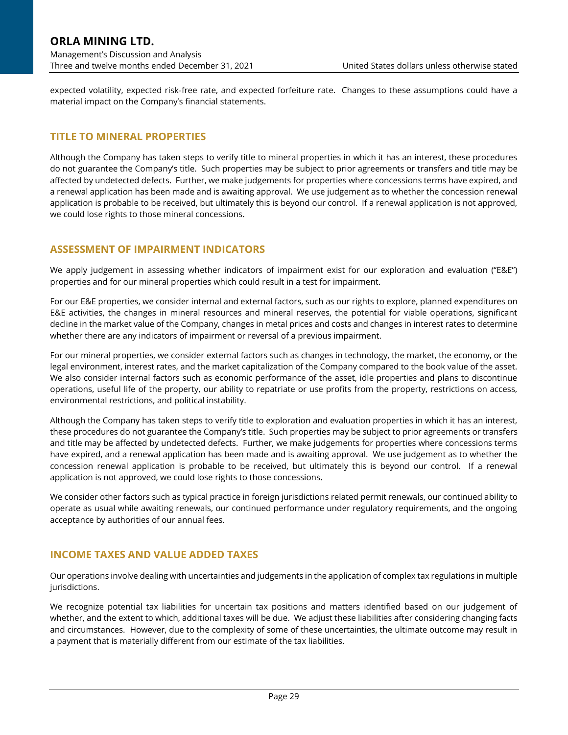expected volatility, expected risk‐free rate, and expected forfeiture rate. Changes to these assumptions could have a material impact on the Company's financial statements.

#### **TITLE TO MINERAL PROPERTIES**

Although the Company has taken steps to verify title to mineral properties in which it has an interest, these procedures do not guarantee the Company's title. Such properties may be subject to prior agreements or transfers and title may be affected by undetected defects. Further, we make judgements for properties where concessions terms have expired, and a renewal application has been made and is awaiting approval. We use judgement as to whether the concession renewal application is probable to be received, but ultimately this is beyond our control. If a renewal application is not approved, we could lose rights to those mineral concessions.

#### **ASSESSMENT OF IMPAIRMENT INDICATORS**

We apply judgement in assessing whether indicators of impairment exist for our exploration and evaluation ("E&E") properties and for our mineral properties which could result in a test for impairment.

For our E&E properties, we consider internal and external factors, such as our rights to explore, planned expenditures on E&E activities, the changes in mineral resources and mineral reserves, the potential for viable operations, significant decline in the market value of the Company, changes in metal prices and costs and changes in interest rates to determine whether there are any indicators of impairment or reversal of a previous impairment.

For our mineral properties, we consider external factors such as changes in technology, the market, the economy, or the legal environment, interest rates, and the market capitalization of the Company compared to the book value of the asset. We also consider internal factors such as economic performance of the asset, idle properties and plans to discontinue operations, useful life of the property, our ability to repatriate or use profits from the property, restrictions on access, environmental restrictions, and political instability.

Although the Company has taken steps to verify title to exploration and evaluation properties in which it has an interest, these procedures do not guarantee the Company's title. Such properties may be subject to prior agreements or transfers and title may be affected by undetected defects. Further, we make judgements for properties where concessions terms have expired, and a renewal application has been made and is awaiting approval. We use judgement as to whether the concession renewal application is probable to be received, but ultimately this is beyond our control. If a renewal application is not approved, we could lose rights to those concessions.

We consider other factors such as typical practice in foreign jurisdictions related permit renewals, our continued ability to operate as usual while awaiting renewals, our continued performance under regulatory requirements, and the ongoing acceptance by authorities of our annual fees.

### **INCOME TAXES AND VALUE ADDED TAXES**

Our operations involve dealing with uncertainties and judgements in the application of complex tax regulations in multiple jurisdictions.

We recognize potential tax liabilities for uncertain tax positions and matters identified based on our judgement of whether, and the extent to which, additional taxes will be due. We adjust these liabilities after considering changing facts and circumstances. However, due to the complexity of some of these uncertainties, the ultimate outcome may result in a payment that is materially different from our estimate of the tax liabilities.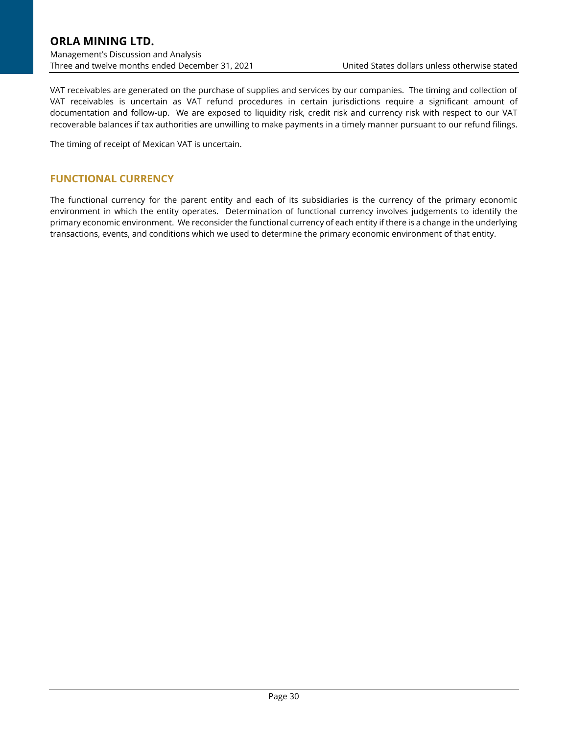VAT receivables are generated on the purchase of supplies and services by our companies. The timing and collection of VAT receivables is uncertain as VAT refund procedures in certain jurisdictions require a significant amount of documentation and follow-up. We are exposed to liquidity risk, credit risk and currency risk with respect to our VAT recoverable balances if tax authorities are unwilling to make payments in a timely manner pursuant to our refund filings.

The timing of receipt of Mexican VAT is uncertain.

### **FUNCTIONAL CURRENCY**

The functional currency for the parent entity and each of its subsidiaries is the currency of the primary economic environment in which the entity operates. Determination of functional currency involves judgements to identify the primary economic environment. We reconsider the functional currency of each entity if there is a change in the underlying transactions, events, and conditions which we used to determine the primary economic environment of that entity.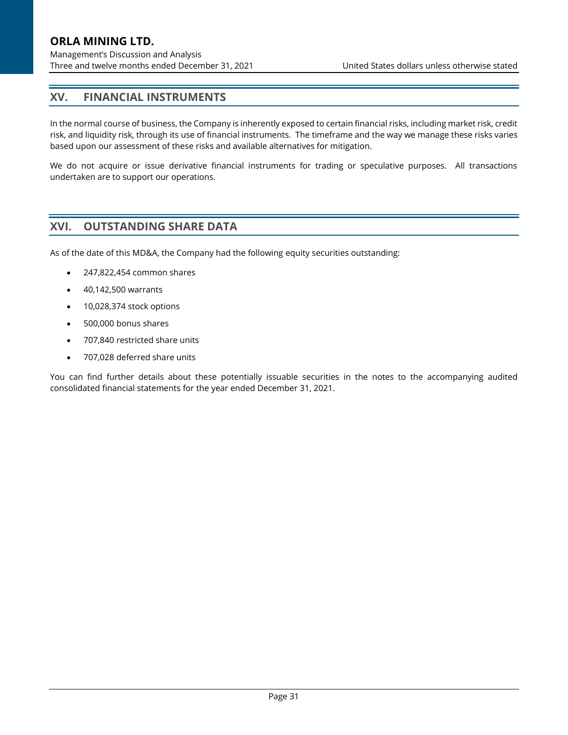## **XV. FINANCIAL INSTRUMENTS**

In the normal course of business, the Company is inherently exposed to certain financial risks, including market risk, credit risk, and liquidity risk, through its use of financial instruments. The timeframe and the way we manage these risks varies based upon our assessment of these risks and available alternatives for mitigation.

We do not acquire or issue derivative financial instruments for trading or speculative purposes. All transactions undertaken are to support our operations.

# **XVI. OUTSTANDING SHARE DATA**

As of the date of this MD&A, the Company had the following equity securities outstanding:

- 247,822,454 common shares
- 40,142,500 warrants
- 10,028,374 stock options
- 500,000 bonus shares
- 707,840 restricted share units
- 707,028 deferred share units

You can find further details about these potentially issuable securities in the notes to the accompanying audited consolidated financial statements for the year ended December 31, 2021.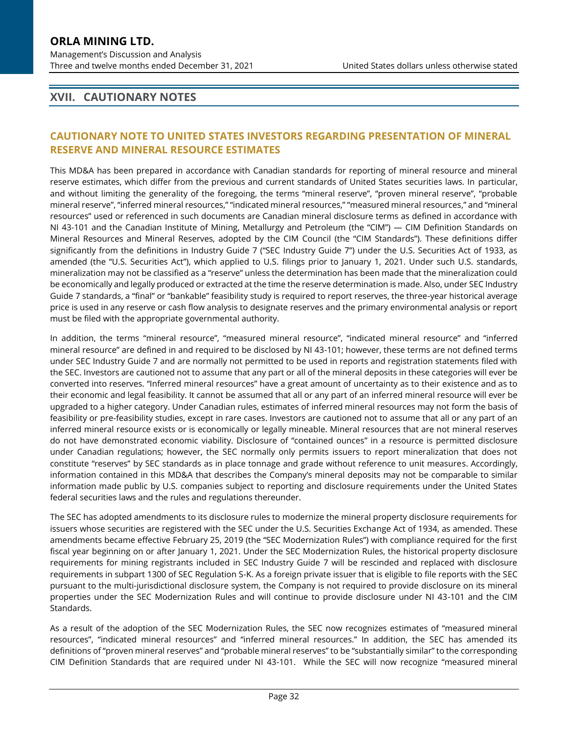# **ORLA MINING LTD.**

# <span id="page-31-0"></span>**XVII. CAUTIONARY NOTES**

## **CAUTIONARY NOTE TO UNITED STATES INVESTORS REGARDING PRESENTATION OF MINERAL RESERVE AND MINERAL RESOURCE ESTIMATES**

This MD&A has been prepared in accordance with Canadian standards for reporting of mineral resource and mineral reserve estimates, which differ from the previous and current standards of United States securities laws. In particular, and without limiting the generality of the foregoing, the terms "mineral reserve", "proven mineral reserve", "probable mineral reserve", "inferred mineral resources," "indicated mineral resources," "measured mineral resources," and "mineral resources" used or referenced in such documents are Canadian mineral disclosure terms as defined in accordance with NI 43-101 and the Canadian Institute of Mining, Metallurgy and Petroleum (the "CIM") — CIM Definition Standards on Mineral Resources and Mineral Reserves, adopted by the CIM Council (the "CIM Standards"). These definitions differ significantly from the definitions in Industry Guide 7 ("SEC Industry Guide 7") under the U.S. Securities Act of 1933, as amended (the "U.S. Securities Act"), which applied to U.S. filings prior to January 1, 2021. Under such U.S. standards, mineralization may not be classified as a "reserve" unless the determination has been made that the mineralization could be economically and legally produced or extracted at the time the reserve determination is made. Also, under SEC Industry Guide 7 standards, a "final" or "bankable" feasibility study is required to report reserves, the three-year historical average price is used in any reserve or cash flow analysis to designate reserves and the primary environmental analysis or report must be filed with the appropriate governmental authority.

In addition, the terms "mineral resource", "measured mineral resource", "indicated mineral resource" and "inferred mineral resource" are defined in and required to be disclosed by NI 43-101; however, these terms are not defined terms under SEC Industry Guide 7 and are normally not permitted to be used in reports and registration statements filed with the SEC. Investors are cautioned not to assume that any part or all of the mineral deposits in these categories will ever be converted into reserves. "Inferred mineral resources" have a great amount of uncertainty as to their existence and as to their economic and legal feasibility. It cannot be assumed that all or any part of an inferred mineral resource will ever be upgraded to a higher category. Under Canadian rules, estimates of inferred mineral resources may not form the basis of feasibility or pre-feasibility studies, except in rare cases. Investors are cautioned not to assume that all or any part of an inferred mineral resource exists or is economically or legally mineable. Mineral resources that are not mineral reserves do not have demonstrated economic viability. Disclosure of "contained ounces" in a resource is permitted disclosure under Canadian regulations; however, the SEC normally only permits issuers to report mineralization that does not constitute "reserves" by SEC standards as in place tonnage and grade without reference to unit measures. Accordingly, information contained in this MD&A that describes the Company's mineral deposits may not be comparable to similar information made public by U.S. companies subject to reporting and disclosure requirements under the United States federal securities laws and the rules and regulations thereunder.

The SEC has adopted amendments to its disclosure rules to modernize the mineral property disclosure requirements for issuers whose securities are registered with the SEC under the U.S. Securities Exchange Act of 1934, as amended. These amendments became effective February 25, 2019 (the "SEC Modernization Rules") with compliance required for the first fiscal year beginning on or after January 1, 2021. Under the SEC Modernization Rules, the historical property disclosure requirements for mining registrants included in SEC Industry Guide 7 will be rescinded and replaced with disclosure requirements in subpart 1300 of SEC Regulation S-K. As a foreign private issuer that is eligible to file reports with the SEC pursuant to the multi-jurisdictional disclosure system, the Company is not required to provide disclosure on its mineral properties under the SEC Modernization Rules and will continue to provide disclosure under NI 43-101 and the CIM Standards.

As a result of the adoption of the SEC Modernization Rules, the SEC now recognizes estimates of "measured mineral resources", "indicated mineral resources" and "inferred mineral resources." In addition, the SEC has amended its definitions of "proven mineral reserves" and "probable mineral reserves" to be "substantially similar" to the corresponding CIM Definition Standards that are required under NI 43-101. While the SEC will now recognize "measured mineral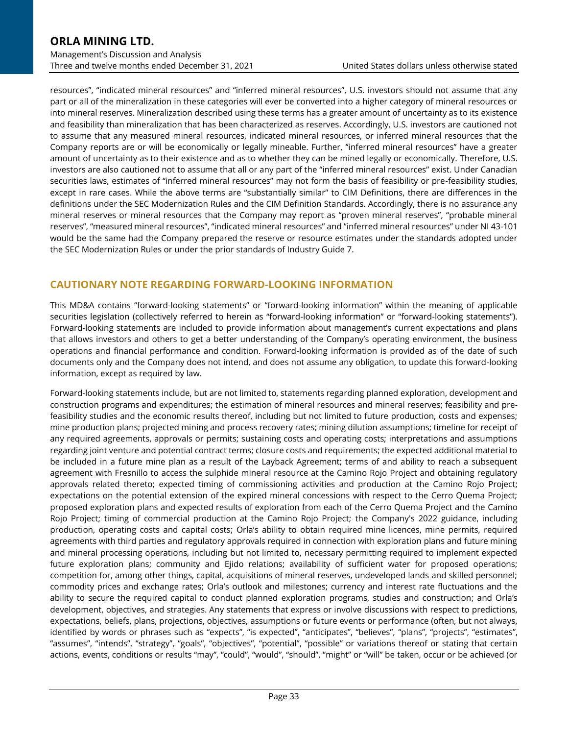resources", "indicated mineral resources" and "inferred mineral resources", U.S. investors should not assume that any part or all of the mineralization in these categories will ever be converted into a higher category of mineral resources or into mineral reserves. Mineralization described using these terms has a greater amount of uncertainty as to its existence and feasibility than mineralization that has been characterized as reserves. Accordingly, U.S. investors are cautioned not to assume that any measured mineral resources, indicated mineral resources, or inferred mineral resources that the Company reports are or will be economically or legally mineable. Further, "inferred mineral resources" have a greater amount of uncertainty as to their existence and as to whether they can be mined legally or economically. Therefore, U.S. investors are also cautioned not to assume that all or any part of the "inferred mineral resources" exist. Under Canadian securities laws, estimates of "inferred mineral resources" may not form the basis of feasibility or pre-feasibility studies, except in rare cases. While the above terms are "substantially similar" to CIM Definitions, there are differences in the definitions under the SEC Modernization Rules and the CIM Definition Standards. Accordingly, there is no assurance any mineral reserves or mineral resources that the Company may report as "proven mineral reserves", "probable mineral reserves", "measured mineral resources", "indicated mineral resources" and "inferred mineral resources" under NI 43-101 would be the same had the Company prepared the reserve or resource estimates under the standards adopted under the SEC Modernization Rules or under the prior standards of Industry Guide 7.

## **CAUTIONARY NOTE REGARDING FORWARD-LOOKING INFORMATION**

This MD&A contains "forward-looking statements" or "forward-looking information" within the meaning of applicable securities legislation (collectively referred to herein as "forward-looking information" or "forward-looking statements"). Forward-looking statements are included to provide information about management's current expectations and plans that allows investors and others to get a better understanding of the Company's operating environment, the business operations and financial performance and condition. Forward-looking information is provided as of the date of such documents only and the Company does not intend, and does not assume any obligation, to update this forward-looking information, except as required by law.

Forward-looking statements include, but are not limited to, statements regarding planned exploration, development and construction programs and expenditures; the estimation of mineral resources and mineral reserves; feasibility and prefeasibility studies and the economic results thereof, including but not limited to future production, costs and expenses; mine production plans; projected mining and process recovery rates; mining dilution assumptions; timeline for receipt of any required agreements, approvals or permits; sustaining costs and operating costs; interpretations and assumptions regarding joint venture and potential contract terms; closure costs and requirements; the expected additional material to be included in a future mine plan as a result of the Layback Agreement; terms of and ability to reach a subsequent agreement with Fresnillo to access the sulphide mineral resource at the Camino Rojo Project and obtaining regulatory approvals related thereto; expected timing of commissioning activities and production at the Camino Rojo Project; expectations on the potential extension of the expired mineral concessions with respect to the Cerro Quema Project; proposed exploration plans and expected results of exploration from each of the Cerro Quema Project and the Camino Rojo Project; timing of commercial production at the Camino Rojo Project; the Company's 2022 guidance, including production, operating costs and capital costs; Orla's ability to obtain required mine licences, mine permits, required agreements with third parties and regulatory approvals required in connection with exploration plans and future mining and mineral processing operations, including but not limited to, necessary permitting required to implement expected future exploration plans; community and Ejido relations; availability of sufficient water for proposed operations; competition for, among other things, capital, acquisitions of mineral reserves, undeveloped lands and skilled personnel; commodity prices and exchange rates; Orla's outlook and milestones; currency and interest rate fluctuations and the ability to secure the required capital to conduct planned exploration programs, studies and construction; and Orla's development, objectives, and strategies. Any statements that express or involve discussions with respect to predictions, expectations, beliefs, plans, projections, objectives, assumptions or future events or performance (often, but not always, identified by words or phrases such as "expects", "is expected", "anticipates", "believes", "plans", "projects", "estimates", "assumes", "intends", "strategy", "goals", "objectives", "potential", "possible" or variations thereof or stating that certain actions, events, conditions or results "may", "could", "would", "should", "might" or "will" be taken, occur or be achieved (or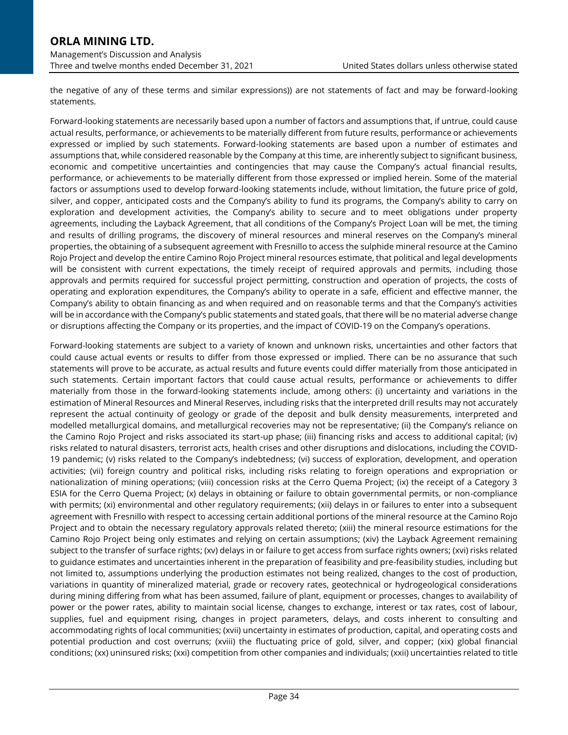the negative of any of these terms and similar expressions)) are not statements of fact and may be forward-looking statements.

Forward-looking statements are necessarily based upon a number of factors and assumptions that, if untrue, could cause actual results, performance, or achievements to be materially different from future results, performance or achievements expressed or implied by such statements. Forward-looking statements are based upon a number of estimates and assumptions that, while considered reasonable by the Company at this time, are inherently subject to significant business, economic and competitive uncertainties and contingencies that may cause the Company's actual financial results, performance, or achievements to be materially different from those expressed or implied herein. Some of the material factors or assumptions used to develop forward-looking statements include, without limitation, the future price of gold, silver, and copper, anticipated costs and the Company's ability to fund its programs, the Company's ability to carry on exploration and development activities, the Company's ability to secure and to meet obligations under property agreements, including the Layback Agreement, that all conditions of the Company's Project Loan will be met, the timing and results of drilling programs, the discovery of mineral resources and mineral reserves on the Company's mineral properties, the obtaining of a subsequent agreement with Fresnillo to access the sulphide mineral resource at the Camino Rojo Project and develop the entire Camino Rojo Project mineral resources estimate, that political and legal developments will be consistent with current expectations, the timely receipt of required approvals and permits, including those approvals and permits required for successful project permitting, construction and operation of projects, the costs of operating and exploration expenditures, the Company's ability to operate in a safe, efficient and effective manner, the Company's ability to obtain financing as and when required and on reasonable terms and that the Company's activities will be in accordance with the Company's public statements and stated goals, that there will be no material adverse change or disruptions affecting the Company or its properties, and the impact of COVID-19 on the Company's operations.

Forward-looking statements are subject to a variety of known and unknown risks, uncertainties and other factors that could cause actual events or results to differ from those expressed or implied. There can be no assurance that such statements will prove to be accurate, as actual results and future events could differ materially from those anticipated in such statements. Certain important factors that could cause actual results, performance or achievements to differ materially from those in the forward-looking statements include, among others: (i) uncertainty and variations in the estimation of Mineral Resources and Mineral Reserves, including risks that the interpreted drill results may not accurately represent the actual continuity of geology or grade of the deposit and bulk density measurements, interpreted and modelled metallurgical domains, and metallurgical recoveries may not be representative; (ii) the Company's reliance on the Camino Rojo Project and risks associated its start-up phase; (iii) financing risks and access to additional capital; (iv) risks related to natural disasters, terrorist acts, health crises and other disruptions and dislocations, including the COVID-19 pandemic; (v) risks related to the Company's indebtedness; (vi) success of exploration, development, and operation activities; (vii) foreign country and political risks, including risks relating to foreign operations and expropriation or nationalization of mining operations; (viii) concession risks at the Cerro Quema Project; (ix) the receipt of a Category 3 ESIA for the Cerro Quema Project; (x) delays in obtaining or failure to obtain governmental permits, or non-compliance with permits; (xi) environmental and other regulatory requirements; (xii) delays in or failures to enter into a subsequent agreement with Fresnillo with respect to accessing certain additional portions of the mineral resource at the Camino Rojo Project and to obtain the necessary regulatory approvals related thereto; (xiii) the mineral resource estimations for the Camino Rojo Project being only estimates and relying on certain assumptions; (xiv) the Layback Agreement remaining subject to the transfer of surface rights; (xv) delays in or failure to get access from surface rights owners; (xvi) risks related to guidance estimates and uncertainties inherent in the preparation of feasibility and pre-feasibility studies, including but not limited to, assumptions underlying the production estimates not being realized, changes to the cost of production, variations in quantity of mineralized material, grade or recovery rates, geotechnical or hydrogeological considerations during mining differing from what has been assumed, failure of plant, equipment or processes, changes to availability of power or the power rates, ability to maintain social license, changes to exchange, interest or tax rates, cost of labour, supplies, fuel and equipment rising, changes in project parameters, delays, and costs inherent to consulting and accommodating rights of local communities; (xvii) uncertainty in estimates of production, capital, and operating costs and potential production and cost overruns; (xviii) the fluctuating price of gold, silver, and copper; (xix) global financial conditions; (xx) uninsured risks; (xxi) competition from other companies and individuals; (xxii) uncertainties related to title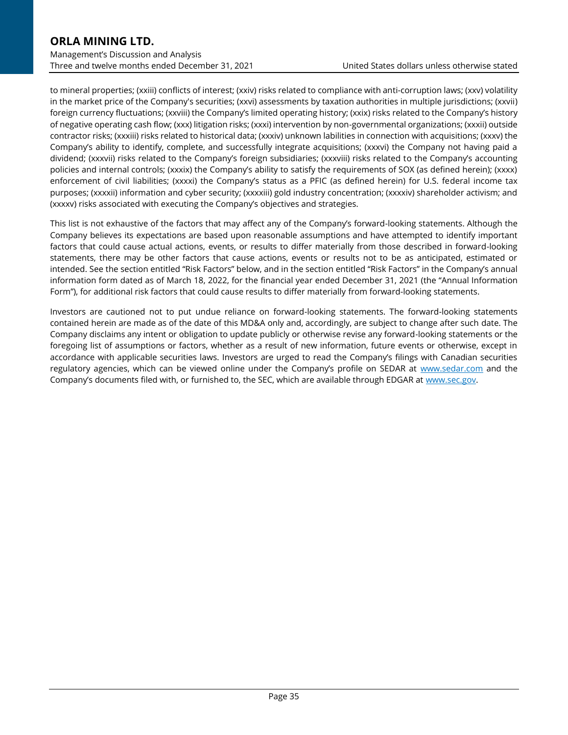to mineral properties; (xxiii) conflicts of interest; (xxiv) risks related to compliance with anti-corruption laws; (xxv) volatility in the market price of the Company's securities; (xxvi) assessments by taxation authorities in multiple jurisdictions; (xxvii) foreign currency fluctuations; (xxviii) the Company's limited operating history; (xxix) risks related to the Company's history of negative operating cash flow; (xxx) litigation risks; (xxxi) intervention by non-governmental organizations; (xxxii) outside contractor risks; (xxxiii) risks related to historical data; (xxxiv) unknown labilities in connection with acquisitions; (xxxv) the Company's ability to identify, complete, and successfully integrate acquisitions; (xxxvi) the Company not having paid a dividend; (xxxvii) risks related to the Company's foreign subsidiaries; (xxxviii) risks related to the Company's accounting policies and internal controls; (xxxix) the Company's ability to satisfy the requirements of SOX (as defined herein); (xxxx) enforcement of civil liabilities; (xxxxi) the Company's status as a PFIC (as defined herein) for U.S. federal income tax purposes; (xxxxii) information and cyber security; (xxxxiii) gold industry concentration; (xxxxiv) shareholder activism; and (xxxxv) risks associated with executing the Company's objectives and strategies.

This list is not exhaustive of the factors that may affect any of the Company's forward-looking statements. Although the Company believes its expectations are based upon reasonable assumptions and have attempted to identify important factors that could cause actual actions, events, or results to differ materially from those described in forward-looking statements, there may be other factors that cause actions, events or results not to be as anticipated, estimated or intended. See the section entitled "Risk Factors" below, and in the section entitled "Risk Factors" in the Company's annual information form dated as of March 18, 2022, for the financial year ended December 31, 2021 (the "Annual Information Form"), for additional risk factors that could cause results to differ materially from forward-looking statements.

Investors are cautioned not to put undue reliance on forward-looking statements. The forward-looking statements contained herein are made as of the date of this MD&A only and, accordingly, are subject to change after such date. The Company disclaims any intent or obligation to update publicly or otherwise revise any forward-looking statements or the foregoing list of assumptions or factors, whether as a result of new information, future events or otherwise, except in accordance with applicable securities laws. Investors are urged to read the Company's filings with Canadian securities regulatory agencies, which can be viewed online under the Company's profile on SEDAR at [www.sedar.com](http://www.sedar.com/) and the Company's documents filed with, or furnished to, the SEC, which are available through EDGAR at [www.sec.gov.](http://www.sec.gov/)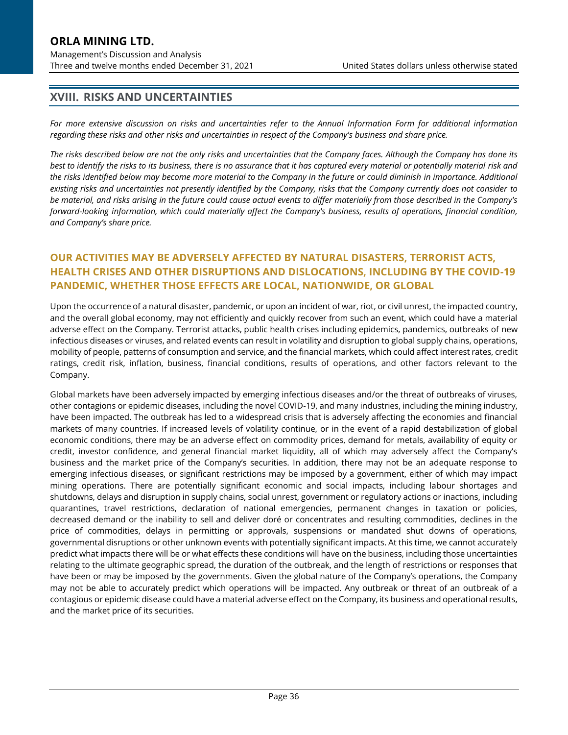## **XVIII. RISKS AND UNCERTAINTIES**

*For more extensive discussion on risks and uncertainties refer to the Annual Information Form for additional information regarding these risks and other risks and uncertainties in respect of the Company's business and share price.*

*The risks described below are not the only risks and uncertainties that the Company faces. Although the Company has done its best to identify the risks to its business, there is no assurance that it has captured every material or potentially material risk and the risks identified below may become more material to the Company in the future or could diminish in importance. Additional existing risks and uncertainties not presently identified by the Company, risks that the Company currently does not consider to be material, and risks arising in the future could cause actual events to differ materially from those described in the Company's forward-looking information, which could materially affect the Company's business, results of operations, financial condition, and Company's share price.*

## **OUR ACTIVITIES MAY BE ADVERSELY AFFECTED BY NATURAL DISASTERS, TERRORIST ACTS, HEALTH CRISES AND OTHER DISRUPTIONS AND DISLOCATIONS, INCLUDING BY THE COVID-19 PANDEMIC, WHETHER THOSE EFFECTS ARE LOCAL, NATIONWIDE, OR GLOBAL**

Upon the occurrence of a natural disaster, pandemic, or upon an incident of war, riot, or civil unrest, the impacted country, and the overall global economy, may not efficiently and quickly recover from such an event, which could have a material adverse effect on the Company. Terrorist attacks, public health crises including epidemics, pandemics, outbreaks of new infectious diseases or viruses, and related events can result in volatility and disruption to global supply chains, operations, mobility of people, patterns of consumption and service, and the financial markets, which could affect interest rates, credit ratings, credit risk, inflation, business, financial conditions, results of operations, and other factors relevant to the Company.

Global markets have been adversely impacted by emerging infectious diseases and/or the threat of outbreaks of viruses, other contagions or epidemic diseases, including the novel COVID-19, and many industries, including the mining industry, have been impacted. The outbreak has led to a widespread crisis that is adversely affecting the economies and financial markets of many countries. If increased levels of volatility continue, or in the event of a rapid destabilization of global economic conditions, there may be an adverse effect on commodity prices, demand for metals, availability of equity or credit, investor confidence, and general financial market liquidity, all of which may adversely affect the Company's business and the market price of the Company's securities. In addition, there may not be an adequate response to emerging infectious diseases, or significant restrictions may be imposed by a government, either of which may impact mining operations. There are potentially significant economic and social impacts, including labour shortages and shutdowns, delays and disruption in supply chains, social unrest, government or regulatory actions or inactions, including quarantines, travel restrictions, declaration of national emergencies, permanent changes in taxation or policies, decreased demand or the inability to sell and deliver doré or concentrates and resulting commodities, declines in the price of commodities, delays in permitting or approvals, suspensions or mandated shut downs of operations, governmental disruptions or other unknown events with potentially significant impacts. At this time, we cannot accurately predict what impacts there will be or what effects these conditions will have on the business, including those uncertainties relating to the ultimate geographic spread, the duration of the outbreak, and the length of restrictions or responses that have been or may be imposed by the governments. Given the global nature of the Company's operations, the Company may not be able to accurately predict which operations will be impacted. Any outbreak or threat of an outbreak of a contagious or epidemic disease could have a material adverse effect on the Company, its business and operational results, and the market price of its securities.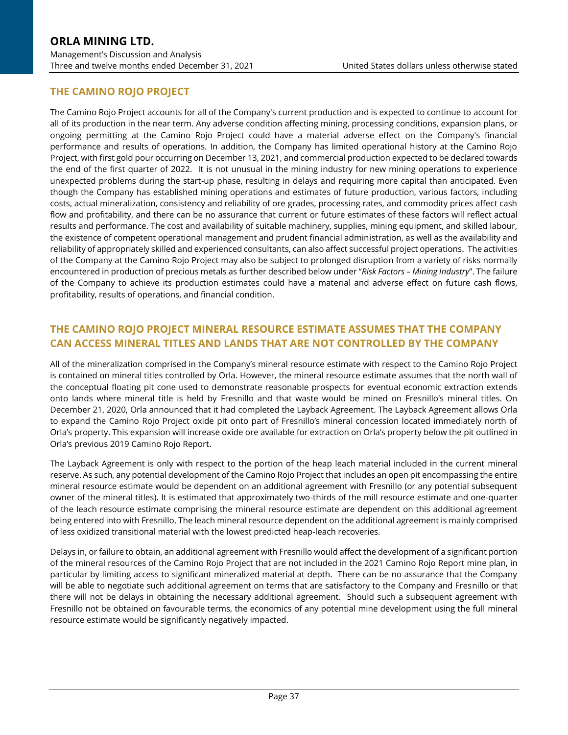## **THE CAMINO ROJO PROJECT**

The Camino Rojo Project accounts for all of the Company's current production and is expected to continue to account for all of its production in the near term. Any adverse condition affecting mining, processing conditions, expansion plans, or ongoing permitting at the Camino Rojo Project could have a material adverse effect on the Company's financial performance and results of operations. In addition, the Company has limited operational history at the Camino Rojo Project, with first gold pour occurring on December 13, 2021, and commercial production expected to be declared towards the end of the first quarter of 2022. It is not unusual in the mining industry for new mining operations to experience unexpected problems during the start-up phase, resulting in delays and requiring more capital than anticipated. Even though the Company has established mining operations and estimates of future production, various factors, including costs, actual mineralization, consistency and reliability of ore grades, processing rates, and commodity prices affect cash flow and profitability, and there can be no assurance that current or future estimates of these factors will reflect actual results and performance. The cost and availability of suitable machinery, supplies, mining equipment, and skilled labour, the existence of competent operational management and prudent financial administration, as well as the availability and reliability of appropriately skilled and experienced consultants, can also affect successful project operations. The activities of the Company at the Camino Rojo Project may also be subject to prolonged disruption from a variety of risks normally encountered in production of precious metals as further described below under "*Risk Factors – Mining Industry*". The failure of the Company to achieve its production estimates could have a material and adverse effect on future cash flows, profitability, results of operations, and financial condition.

## **THE CAMINO ROJO PROJECT MINERAL RESOURCE ESTIMATE ASSUMES THAT THE COMPANY CAN ACCESS MINERAL TITLES AND LANDS THAT ARE NOT CONTROLLED BY THE COMPANY**

All of the mineralization comprised in the Company's mineral resource estimate with respect to the Camino Rojo Project is contained on mineral titles controlled by Orla. However, the mineral resource estimate assumes that the north wall of the conceptual floating pit cone used to demonstrate reasonable prospects for eventual economic extraction extends onto lands where mineral title is held by Fresnillo and that waste would be mined on Fresnillo's mineral titles. On December 21, 2020, Orla announced that it had completed the Layback Agreement. The Layback Agreement allows Orla to expand the Camino Rojo Project oxide pit onto part of Fresnillo's mineral concession located immediately north of Orla's property. This expansion will increase oxide ore available for extraction on Orla's property below the pit outlined in Orla's previous 2019 Camino Rojo Report.

The Layback Agreement is only with respect to the portion of the heap leach material included in the current mineral reserve. As such, any potential development of the Camino Rojo Project that includes an open pit encompassing the entire mineral resource estimate would be dependent on an additional agreement with Fresnillo (or any potential subsequent owner of the mineral titles). It is estimated that approximately two-thirds of the mill resource estimate and one-quarter of the leach resource estimate comprising the mineral resource estimate are dependent on this additional agreement being entered into with Fresnillo. The leach mineral resource dependent on the additional agreement is mainly comprised of less oxidized transitional material with the lowest predicted heap-leach recoveries.

Delays in, or failure to obtain, an additional agreement with Fresnillo would affect the development of a significant portion of the mineral resources of the Camino Rojo Project that are not included in the 2021 Camino Rojo Report mine plan, in particular by limiting access to significant mineralized material at depth. There can be no assurance that the Company will be able to negotiate such additional agreement on terms that are satisfactory to the Company and Fresnillo or that there will not be delays in obtaining the necessary additional agreement. Should such a subsequent agreement with Fresnillo not be obtained on favourable terms, the economics of any potential mine development using the full mineral resource estimate would be significantly negatively impacted.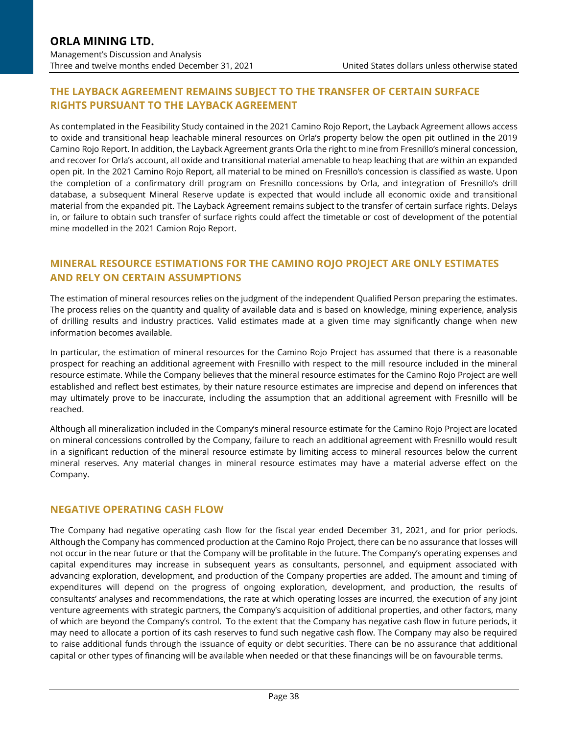# **THE LAYBACK AGREEMENT REMAINS SUBJECT TO THE TRANSFER OF CERTAIN SURFACE RIGHTS PURSUANT TO THE LAYBACK AGREEMENT**

As contemplated in the Feasibility Study contained in the 2021 Camino Rojo Report, the Layback Agreement allows access to oxide and transitional heap leachable mineral resources on Orla's property below the open pit outlined in the 2019 Camino Rojo Report. In addition, the Layback Agreement grants Orla the right to mine from Fresnillo's mineral concession, and recover for Orla's account, all oxide and transitional material amenable to heap leaching that are within an expanded open pit. In the 2021 Camino Rojo Report, all material to be mined on Fresnillo's concession is classified as waste. Upon the completion of a confirmatory drill program on Fresnillo concessions by Orla, and integration of Fresnillo's drill database, a subsequent Mineral Reserve update is expected that would include all economic oxide and transitional material from the expanded pit. The Layback Agreement remains subject to the transfer of certain surface rights. Delays in, or failure to obtain such transfer of surface rights could affect the timetable or cost of development of the potential mine modelled in the 2021 Camion Rojo Report.

## **MINERAL RESOURCE ESTIMATIONS FOR THE CAMINO ROJO PROJECT ARE ONLY ESTIMATES AND RELY ON CERTAIN ASSUMPTIONS**

The estimation of mineral resources relies on the judgment of the independent Qualified Person preparing the estimates. The process relies on the quantity and quality of available data and is based on knowledge, mining experience, analysis of drilling results and industry practices. Valid estimates made at a given time may significantly change when new information becomes available.

In particular, the estimation of mineral resources for the Camino Rojo Project has assumed that there is a reasonable prospect for reaching an additional agreement with Fresnillo with respect to the mill resource included in the mineral resource estimate. While the Company believes that the mineral resource estimates for the Camino Rojo Project are well established and reflect best estimates, by their nature resource estimates are imprecise and depend on inferences that may ultimately prove to be inaccurate, including the assumption that an additional agreement with Fresnillo will be reached.

Although all mineralization included in the Company's mineral resource estimate for the Camino Rojo Project are located on mineral concessions controlled by the Company, failure to reach an additional agreement with Fresnillo would result in a significant reduction of the mineral resource estimate by limiting access to mineral resources below the current mineral reserves. Any material changes in mineral resource estimates may have a material adverse effect on the Company.

### **NEGATIVE OPERATING CASH FLOW**

The Company had negative operating cash flow for the fiscal year ended December 31, 2021, and for prior periods. Although the Company has commenced production at the Camino Rojo Project, there can be no assurance that losses will not occur in the near future or that the Company will be profitable in the future. The Company's operating expenses and capital expenditures may increase in subsequent years as consultants, personnel, and equipment associated with advancing exploration, development, and production of the Company properties are added. The amount and timing of expenditures will depend on the progress of ongoing exploration, development, and production, the results of consultants' analyses and recommendations, the rate at which operating losses are incurred, the execution of any joint venture agreements with strategic partners, the Company's acquisition of additional properties, and other factors, many of which are beyond the Company's control. To the extent that the Company has negative cash flow in future periods, it may need to allocate a portion of its cash reserves to fund such negative cash flow. The Company may also be required to raise additional funds through the issuance of equity or debt securities. There can be no assurance that additional capital or other types of financing will be available when needed or that these financings will be on favourable terms.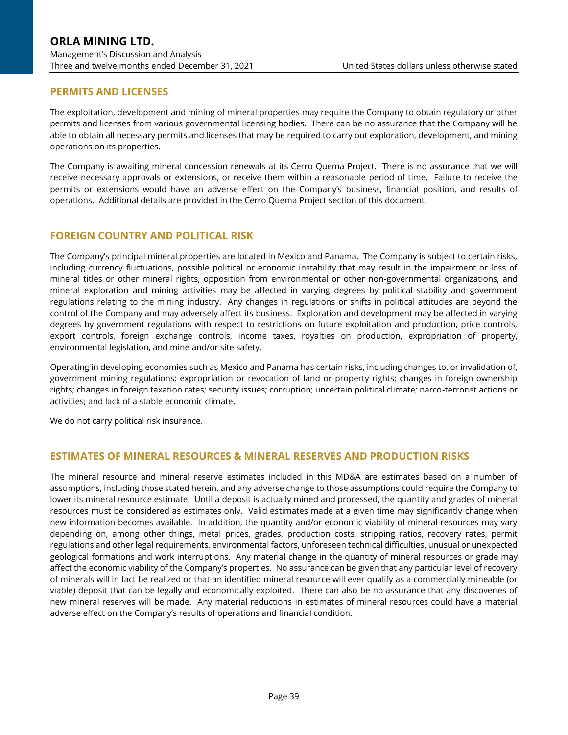### **PERMITS AND LICENSES**

The exploitation, development and mining of mineral properties may require the Company to obtain regulatory or other permits and licenses from various governmental licensing bodies. There can be no assurance that the Company will be able to obtain all necessary permits and licenses that may be required to carry out exploration, development, and mining operations on its properties.

The Company is awaiting mineral concession renewals at its Cerro Quema Project. There is no assurance that we will receive necessary approvals or extensions, or receive them within a reasonable period of time. Failure to receive the permits or extensions would have an adverse effect on the Company's business, financial position, and results of operations. Additional details are provided in the Cerro Quema Project section of this document.

#### **FOREIGN COUNTRY AND POLITICAL RISK**

The Company's principal mineral properties are located in Mexico and Panama. The Company is subject to certain risks, including currency fluctuations, possible political or economic instability that may result in the impairment or loss of mineral titles or other mineral rights, opposition from environmental or other non-governmental organizations, and mineral exploration and mining activities may be affected in varying degrees by political stability and government regulations relating to the mining industry. Any changes in regulations or shifts in political attitudes are beyond the control of the Company and may adversely affect its business. Exploration and development may be affected in varying degrees by government regulations with respect to restrictions on future exploitation and production, price controls, export controls, foreign exchange controls, income taxes, royalties on production, expropriation of property, environmental legislation, and mine and/or site safety.

Operating in developing economies such as Mexico and Panama has certain risks, including changes to, or invalidation of, government mining regulations; expropriation or revocation of land or property rights; changes in foreign ownership rights; changes in foreign taxation rates; security issues; corruption; uncertain political climate; narco-terrorist actions or activities; and lack of a stable economic climate.

We do not carry political risk insurance.

## **ESTIMATES OF MINERAL RESOURCES & MINERAL RESERVES AND PRODUCTION RISKS**

The mineral resource and mineral reserve estimates included in this MD&A are estimates based on a number of assumptions, including those stated herein, and any adverse change to those assumptions could require the Company to lower its mineral resource estimate. Until a deposit is actually mined and processed, the quantity and grades of mineral resources must be considered as estimates only. Valid estimates made at a given time may significantly change when new information becomes available. In addition, the quantity and/or economic viability of mineral resources may vary depending on, among other things, metal prices, grades, production costs, stripping ratios, recovery rates, permit regulations and other legal requirements, environmental factors, unforeseen technical difficulties, unusual or unexpected geological formations and work interruptions. Any material change in the quantity of mineral resources or grade may affect the economic viability of the Company's properties. No assurance can be given that any particular level of recovery of minerals will in fact be realized or that an identified mineral resource will ever qualify as a commercially mineable (or viable) deposit that can be legally and economically exploited. There can also be no assurance that any discoveries of new mineral reserves will be made. Any material reductions in estimates of mineral resources could have a material adverse effect on the Company's results of operations and financial condition.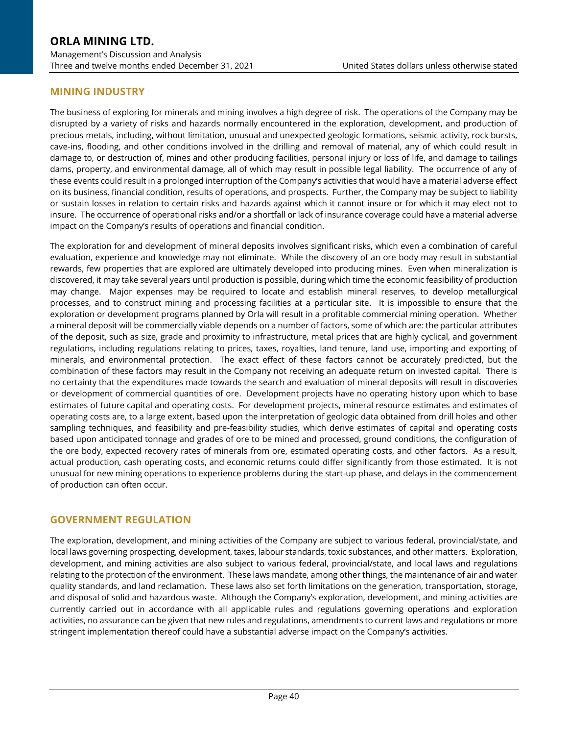## **MINING INDUSTRY**

The business of exploring for minerals and mining involves a high degree of risk. The operations of the Company may be disrupted by a variety of risks and hazards normally encountered in the exploration, development, and production of precious metals, including, without limitation, unusual and unexpected geologic formations, seismic activity, rock bursts, cave-ins, flooding, and other conditions involved in the drilling and removal of material, any of which could result in damage to, or destruction of, mines and other producing facilities, personal injury or loss of life, and damage to tailings dams, property, and environmental damage, all of which may result in possible legal liability. The occurrence of any of these events could result in a prolonged interruption of the Company's activities that would have a material adverse effect on its business, financial condition, results of operations, and prospects. Further, the Company may be subject to liability or sustain losses in relation to certain risks and hazards against which it cannot insure or for which it may elect not to insure. The occurrence of operational risks and/or a shortfall or lack of insurance coverage could have a material adverse impact on the Company's results of operations and financial condition.

The exploration for and development of mineral deposits involves significant risks, which even a combination of careful evaluation, experience and knowledge may not eliminate. While the discovery of an ore body may result in substantial rewards, few properties that are explored are ultimately developed into producing mines. Even when mineralization is discovered, it may take several years until production is possible, during which time the economic feasibility of production may change. Major expenses may be required to locate and establish mineral reserves, to develop metallurgical processes, and to construct mining and processing facilities at a particular site. It is impossible to ensure that the exploration or development programs planned by Orla will result in a profitable commercial mining operation. Whether a mineral deposit will be commercially viable depends on a number of factors, some of which are: the particular attributes of the deposit, such as size, grade and proximity to infrastructure, metal prices that are highly cyclical, and government regulations, including regulations relating to prices, taxes, royalties, land tenure, land use, importing and exporting of minerals, and environmental protection. The exact effect of these factors cannot be accurately predicted, but the combination of these factors may result in the Company not receiving an adequate return on invested capital. There is no certainty that the expenditures made towards the search and evaluation of mineral deposits will result in discoveries or development of commercial quantities of ore. Development projects have no operating history upon which to base estimates of future capital and operating costs. For development projects, mineral resource estimates and estimates of operating costs are, to a large extent, based upon the interpretation of geologic data obtained from drill holes and other sampling techniques, and feasibility and pre-feasibility studies, which derive estimates of capital and operating costs based upon anticipated tonnage and grades of ore to be mined and processed, ground conditions, the configuration of the ore body, expected recovery rates of minerals from ore, estimated operating costs, and other factors. As a result, actual production, cash operating costs, and economic returns could differ significantly from those estimated. It is not unusual for new mining operations to experience problems during the start-up phase, and delays in the commencement of production can often occur.

#### **GOVERNMENT REGULATION**

The exploration, development, and mining activities of the Company are subject to various federal, provincial/state, and local laws governing prospecting, development, taxes, labour standards, toxic substances, and other matters. Exploration, development, and mining activities are also subject to various federal, provincial/state, and local laws and regulations relating to the protection of the environment. These laws mandate, among other things, the maintenance of air and water quality standards, and land reclamation. These laws also set forth limitations on the generation, transportation, storage, and disposal of solid and hazardous waste. Although the Company's exploration, development, and mining activities are currently carried out in accordance with all applicable rules and regulations governing operations and exploration activities, no assurance can be given that new rules and regulations, amendments to current laws and regulations or more stringent implementation thereof could have a substantial adverse impact on the Company's activities.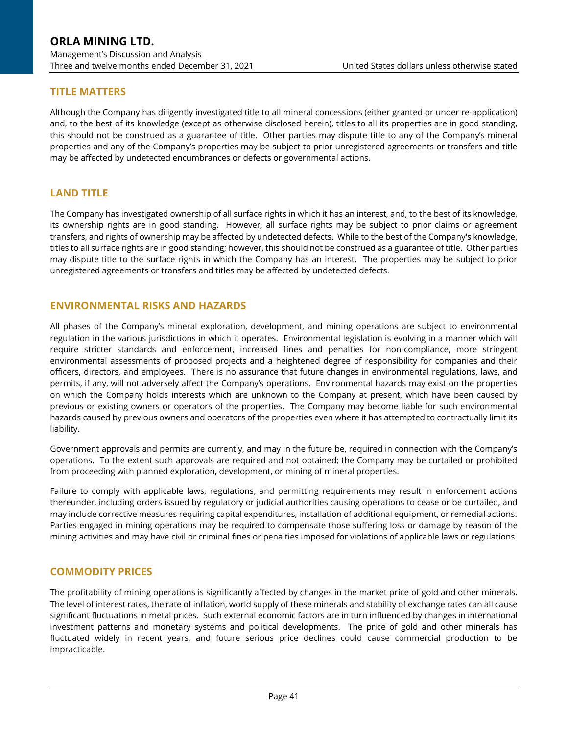## **TITLE MATTERS**

Although the Company has diligently investigated title to all mineral concessions (either granted or under re-application) and, to the best of its knowledge (except as otherwise disclosed herein), titles to all its properties are in good standing, this should not be construed as a guarantee of title. Other parties may dispute title to any of the Company's mineral properties and any of the Company's properties may be subject to prior unregistered agreements or transfers and title may be affected by undetected encumbrances or defects or governmental actions.

### **LAND TITLE**

The Company has investigated ownership of all surface rights in which it has an interest, and, to the best of its knowledge, its ownership rights are in good standing. However, all surface rights may be subject to prior claims or agreement transfers, and rights of ownership may be affected by undetected defects. While to the best of the Company's knowledge, titles to all surface rights are in good standing; however, this should not be construed as a guarantee of title. Other parties may dispute title to the surface rights in which the Company has an interest. The properties may be subject to prior unregistered agreements or transfers and titles may be affected by undetected defects.

#### **ENVIRONMENTAL RISKS AND HAZARDS**

All phases of the Company's mineral exploration, development, and mining operations are subject to environmental regulation in the various jurisdictions in which it operates. Environmental legislation is evolving in a manner which will require stricter standards and enforcement, increased fines and penalties for non-compliance, more stringent environmental assessments of proposed projects and a heightened degree of responsibility for companies and their officers, directors, and employees. There is no assurance that future changes in environmental regulations, laws, and permits, if any, will not adversely affect the Company's operations. Environmental hazards may exist on the properties on which the Company holds interests which are unknown to the Company at present, which have been caused by previous or existing owners or operators of the properties. The Company may become liable for such environmental hazards caused by previous owners and operators of the properties even where it has attempted to contractually limit its liability.

Government approvals and permits are currently, and may in the future be, required in connection with the Company's operations. To the extent such approvals are required and not obtained; the Company may be curtailed or prohibited from proceeding with planned exploration, development, or mining of mineral properties.

Failure to comply with applicable laws, regulations, and permitting requirements may result in enforcement actions thereunder, including orders issued by regulatory or judicial authorities causing operations to cease or be curtailed, and may include corrective measures requiring capital expenditures, installation of additional equipment, or remedial actions. Parties engaged in mining operations may be required to compensate those suffering loss or damage by reason of the mining activities and may have civil or criminal fines or penalties imposed for violations of applicable laws or regulations.

### **COMMODITY PRICES**

The profitability of mining operations is significantly affected by changes in the market price of gold and other minerals. The level of interest rates, the rate of inflation, world supply of these minerals and stability of exchange rates can all cause significant fluctuations in metal prices. Such external economic factors are in turn influenced by changes in international investment patterns and monetary systems and political developments. The price of gold and other minerals has fluctuated widely in recent years, and future serious price declines could cause commercial production to be impracticable.